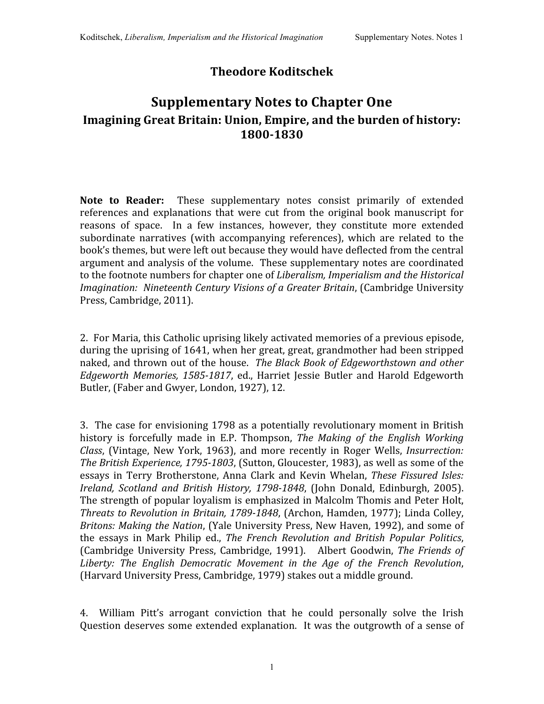## **Theodore Koditschek**

## **Supplementary Notes to Chapter One Imagining Great Britain: Union, Empire, and the burden of history: 18001830**

Note to Reader: These supplementary notes consist primarily of extended references and explanations that were cut from the original book manuscript for reasons of space. In a few instances, however, they constitute more extended subordinate narratives (with accompanying references), which are related to the book's
themes,
but
were
left
out
because
they
would
have
deflected
from
the
central argument
and
analysis
of
the
volume. These
supplementary
notes
are
coordinated to the footnote numbers for chapter one of *Liberalism, Imperialism and the Historical Imagination: Nineteenth
Century
Visions
of
a
Greater
Britain*,
(Cambridge
University Press,
Cambridge,
2011).

2. For
Maria,
this
Catholic
uprising
likely activated
memories
of
a
previous
episode, during the uprising of 1641, when her great, great, grandmother had been stripped naked, and thrown out of the house. The Black Book of Edgeworthstown and other Edgeworth Memories, 1585-1817, ed., Harriet Jessie Butler and Harold Edgeworth Butler,
(Faber
and
Gwyer,
London,
1927),
12.

3. The
case
for
envisioning
1798
as
a
potentially
revolutionary
moment
in
British history is forcefully made in E.P. Thompson, *The Making of the English Working*  Class, (Vintage, New York, 1963), and more recently in Roger Wells, *Insurrection:* The British Experience, 1795-1803, (Sutton, Gloucester, 1983), as well as some of the essays in Terry
Brotherstone,
Anna Clark and
Kevin
Whelan, *These Fissured
Isles:*  Ireland, Scotland and British History, 1798-1848, (John Donald, Edinburgh, 2005). The
strength
of
popular
loyalism
is
emphasized
in
Malcolm
Thomis
and
Peter
Holt, Threats to Revolution in Britain, 1789-1848, (Archon, Hamden, 1977); Linda Colley, Britons: Making the Nation, (Yale University Press, New Haven, 1992), and some of the essays in Mark Philip ed., *The French Revolution and British Popular Politics*, (Cambridge
University Press, Cambridge, 1991). Albert Goodwin, *The Friends of Liberty: The English Democratic Movement in the Age of the French Revolution*, (Harvard
University
Press,
Cambridge,
1979)
stakes
out
a
middle
ground.

4. William Pitt's arrogant conviction that he could personally solve the Irish Question deserves some extended explanation. It was the outgrowth of a sense of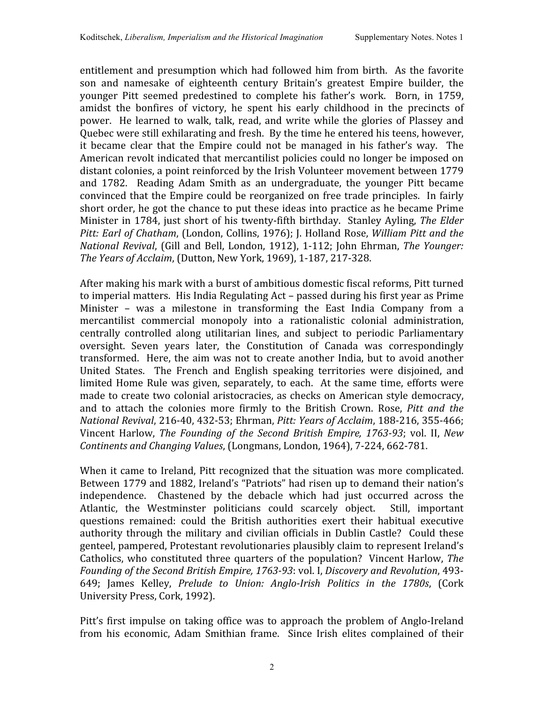entitlement and
presumption
which
had
followed
him
from
birth. As
the
favorite son and namesake of eighteenth century Britain's greatest Empire builder, the younger Pitt seemed predestined to complete his father's work. Born, in 1759, amidst the bonfires of victory, he spent his early childhood in the precincts of power. He learned to walk, talk, read, and write while the glories of Plassey and Quebec
were
still
exhilarating
and
fresh. By
the
time
he
entered
his
teens,
however, it became clear that the Empire could not be managed in his father's way. The American revolt indicated that mercantilist policies could no longer be imposed on distant colonies, a point reinforced by the Irish Volunteer movement between 1779 and 1782. Reading Adam Smith as an undergraduate, the younger Pitt became convinced that the Empire could be reorganized on free trade principles. In fairly short order, he got the chance to put these ideas into practice as he became Prime Minister in 1784, just short of his twenty-fifth birthday. Stanley Ayling, The Elder Pitt: Earl of Chatham, (London, Collins, 1976); J. Holland Rose, William Pitt and the National Revival, (Gill and Bell, London, 1912), 1-112; John Ehrman, The Younger: *The
Years
of
Acclaim*,
(Dutton,
New
York,
1969),
1‐187,
217‐328.

After making his mark with a burst of ambitious domestic fiscal reforms, Pitt turned to
imperial
matters. His India
Regulating
Act
– passed
during
his
first
year
as
Prime Minister - was a milestone in transforming the East India Company from a mercantilist commercial monopoly into a rationalistic colonial administration, centrally controlled along utilitarian lines, and subject to periodic Parliamentary oversight. Seven years later, the Constitution of Canada was correspondingly transformed. Here,
the
aim
was
not
to create
another
India,
but
to
avoid
another United States. The French and English speaking territories were disjoined, and limited Home Rule was given, separately, to each. At the same time, efforts were made
to
create
two
colonial
aristocracies,
as checks on
American
style
democracy, and to attach the colonies more firmly to the British Crown. Rose, *Pitt and the National
Revival*,
216‐40, 432‐53;
Ehrman, *Pitt:
Years
of
Acclaim*,
188‐216,
355‐466; Vincent Harlow, The Founding of the Second British Empire, 1763-93; vol. II, New *Continents
and
Changing
Values*,
(Longmans,
London,
1964),
7‐224,
662‐781.

When it came to Ireland, Pitt recognized that the situation was more complicated. Between 1779 and 1882, Ireland's "Patriots" had risen up to demand their nation's independence. Chastened by the debacle which had just occurred across the Atlantic, the Westminster politicians could scarcely object. Still, important questions remained: could the British authorities exert their habitual executive authority through the military and civilian officials in Dublin Castle? Could these genteel,
pampered,
Protestant
revolutionaries
plausibly
claim
to
represent
Ireland's Catholics,
who constituted
three
quarters
of
the
population? Vincent
Harlow, *The*  Founding of the Second British Empire, 1763-93: vol. I, Discovery and Revolution, 493-649; James Kelley, *Prelude to Union: Anglo-Irish Politics in the 1780s*, (Cork University
Press,
Cork,
1992).

Pitt's first impulse on taking office was to approach the problem of Anglo-Ireland from his economic, Adam Smithian frame. Since Irish elites complained of their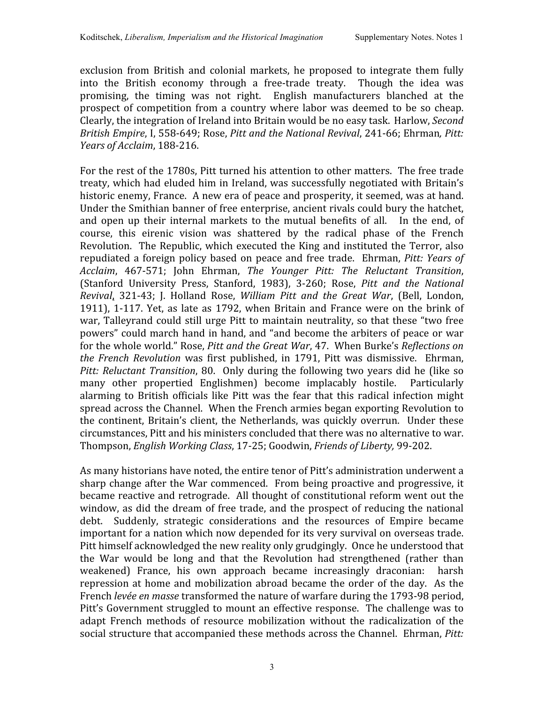exclusion from British and colonial markets, he proposed to integrate them fully into the British economy through a free-trade treaty. Though the idea was promising, the timing was not right. English manufacturers blanched at the prospect of competition
from a country
where labor
was deemed
to be so cheap. Clearly, the integration of Ireland into Britain would be no easy task. Harlow, Second *British
Empire*,
I,
558‐649;
Rose, *Pitt
and
the
National
Revival*,
241‐66;
Ehrman*,
Pitt: Years
of
Acclaim*,
188‐216.

For the rest of the 1780s, Pitt turned his attention to other matters. The free trade treaty, which had eluded him in Ireland, was successfully negotiated with Britain's historic enemy, France. A new era of peace and prosperity, it seemed, was at hand. Under the Smithian banner of free enterprise, ancient rivals could bury the hatchet, and open up their internal markets to the mutual benefits of all. In the end, of course, this eirenic vision was shattered by the radical phase of the French Revolution. The Republic, which executed the King and instituted the Terror, also repudiated a foreign policy based on peace and free trade. Ehrman, Pitt: Years of *Acclaim*, 467‐571; John Ehrman, *The Younger Pitt: The Reluctant Transition*, (Stanford University Press, Stanford, 1983), 3‐260; Rose, *Pitt and the National Revival*, 321‐43; J. Holland Rose, *William Pitt and the Great War*, (Bell, London, 1911), 1-117. Yet, as late as 1792, when Britain and France were on the brink of war, Talleyrand could still urge Pitt to maintain neutrality, so that these "two free powers"
could
march
hand
in
hand,
and
"and
become
the
arbiters
of
peace
or
war for
the
whole
world."
Rose, *Pitt
and
the
Great
War*,
47. When
Burke's *Reflections
on*  the French Revolution was first published, in 1791, Pitt was dismissive. Ehrman, Pitt: Reluctant Transition, 80. Only during the following two years did he (like so many other propertied Englishmen) become implacably hostile. Particularly alarming to British officials like Pitt was the fear that this radical infection might spread
across
the
Channel. When
the
French
armies
began
exporting
Revolution
to the continent, Britain's client, the Netherlands, was quickly overrun. Under these circumstances,
Pitt
and
his
ministers
concluded
that
there
was
no
alternative
to
war. Thompson, *English
Working
Class*,
17‐25;
Goodwin, *Friends
of
Liberty,* 99‐202.

As many historians have noted, the entire tenor of Pitt's administration underwent a sharp change after the War commenced. From being proactive and progressive, it became reactive and retrograde. All thought of constitutional reform went out the window, as did the dream of free trade, and the prospect of reducing the national debt. Suddenly, strategic considerations and the resources of Empire became important for a nation which now depended for its very survival on overseas trade. Pitt himself acknowledged the new reality only grudgingly. Once he understood that the War would be long and that the Revolution had strengthened (rather than weakened) France, his own approach became increasingly draconian: harsh repression
at
home
and
mobilization
abroad
became
the
order
of
the
day. As
the French levée en masse transformed the nature of warfare during the 1793-98 period, Pitt's Government struggled to mount an effective response. The challenge was to adapt French methods of resource mobilization without the radicalization of the social structure that accompanied these methods across the Channel. Ehrman, Pitt: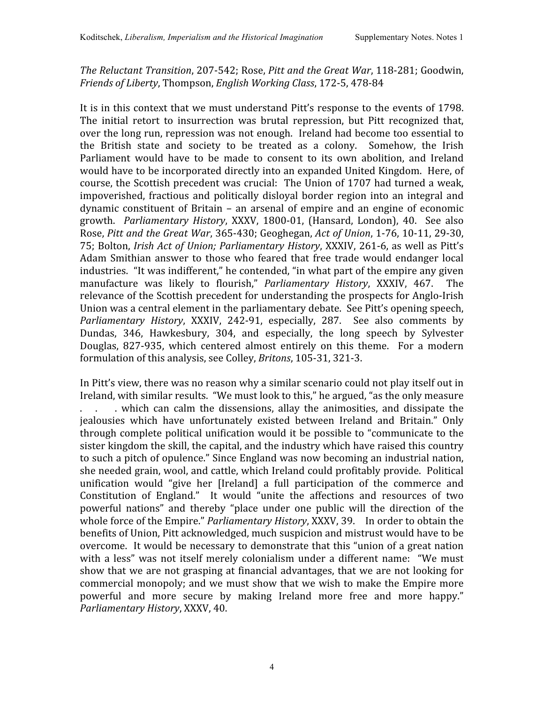The Reluctant Transition, 207-542; Rose, Pitt and the Great War, 118-281; Goodwin, *Friends
of
Liberty*,
Thompson, *English
Working
Class*,
172‐5,
478‐84

It is in this context that we must understand Pitt's response to the events of 1798. The initial retort to insurrection was brutal repression, but Pitt recognized that, over
the
long
run,
repression
was
not
enough. Ireland
had
become
too
essential
to the British state and society to be treated as a colony. Somehow, the Irish Parliament would have to be made to consent to its own abolition, and Ireland would have to be incorporated directly into an expanded United Kingdom. Here, of course,
the
Scottish
precedent
was
crucial: The
Union
of
1707
had turned a
weak, impoverished, fractious and politically disloyal border region into an integral and dynamic constituent of
Britain – an arsenal of empire and an engine of economic growth. Parliamentary History, XXXV, 1800-01, (Hansard, London), 40. See also Rose, *Pitt
and
the
Great
War*,
365‐430;
Geoghegan, *Act
of
Union*,
1‐76,
10‐11,
29‐30, 75;
Bolton, *Irish
Act
of
Union;
Parliamentary
History*,
XXXIV,
261‐6, as
well
as
Pitt's Adam Smithian answer to those who feared that free trade would endanger local industries. "It was indifferent," he contended, "in what part of the empire any given manufacture was likely to flourish," Parliamentary History, XXXIV, 467. The relevance of the Scottish precedent for understanding the prospects for Anglo-Irish Union was a central element in the parliamentary debate. See Pitt's opening speech, Parliamentary History, XXXIV, 242-91, especially, 287. See also comments by Dundas, 346, Hawkesbury, 304, and especially, the long speech by Sylvester Douglas, 827-935, which centered almost entirely on this theme. For a modern formulation
of
this
analysis,
see
Colley, *Britons*,
105‐31,
321‐3.

In Pitt's view, there was no reason why a similar scenario could not play itself out in Ireland, with similar results. "We must look to this," he argued, "as the only measure ... which can calm the dissensions, allay the animosities, and dissipate the jealousies which have unfortunately existed between Ireland and Britain." Only through complete political unification would it be possible to "communicate to the sister kingdom the skill, the capital, and the industry which have raised this country to such a pitch of opulence." Since England was now becoming an industrial nation, she
needed
grain,
wool,
and
cattle,
which
Ireland
could
profitably
provide. Political unification would "give her [Ireland] a full participation of the commerce and Constitution of England." It would "unite the affections and resources of two powerful nations" and thereby "place under one public will the direction of the whole force of the Empire." *Parliamentary History*, XXXV, 39. In order to obtain the benefits of Union, Pitt acknowledged, much suspicion and mistrust would have to be overcome. It
would
be
necessary
to
demonstrate
that
this
"union
of
a
great
nation with a less" was not itself merely colonialism under a different name: "We must show that we are not grasping at financial advantages, that we are not looking for commercial
monopoly;
and
we
must
show
that
we
wish
to
make
the
Empire
more powerful and more secure by making Ireland more free and more happy." *Parliamentary
History*,
XXXV,
40.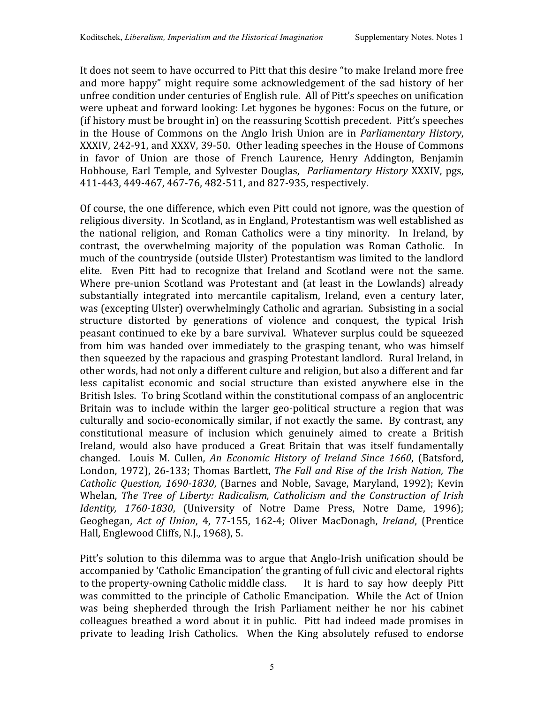It does not seem to have occurred to Pitt that this desire "to make Ireland more free and more happy" might require some acknowledgement of the sad history of her unfree condition under centuries of English rule. All of Pitt's speeches on unification were
upbeat
and
forward
looking:
Let
bygones
be
bygones:
Focus
on
the
future,
or (if
history
must
be
brought
in)
on
the
reassuring
Scottish
precedent. Pitt's
speeches in
the
House of Commons on
the Anglo
Irish
Union are in *Parliamentary
History*, XXXIV, 242-91, and XXXV, 39-50. Other leading speeches in the House of Commons in favor of Union are those of French Laurence, Henry Addington, Benjamin Hobhouse, Earl Temple, and Sylvester Douglas, Parliamentary History XXXIV, pgs, 411‐443,
449‐467,
467‐76,
482‐511,
and
827‐935,
respectively.

Of course, the one difference, which even Pitt could not ignore, was the question of religious
diversity. In
Scotland,
as
in
England,
Protestantism
was
well
established
as the national religion, and Roman Catholics were a tiny minority. In Ireland, by contrast, the overwhelming majority of the population was Roman Catholic. In much
of
the
countryside
(outside
Ulster)
Protestantism
was
limited
to
the
landlord elite. Even Pitt had to recognize that Ireland and Scotland were not the same. Where pre-union Scotland was Protestant and (at least in the Lowlands) already substantially integrated into mercantile capitalism, Ireland, even a century later, was
(excepting
Ulster)
overwhelmingly
Catholic
and
agrarian. Subsisting
in
a
social structure distorted by generations of violence and conquest, the typical Irish peasant
continued
to
eke
by
a
bare
survival. Whatever
surplus
could
be
squeezed from him was handed over immediately to the grasping tenant, who was himself then squeezed by the rapacious and grasping Protestant landlord. Rural Ireland, in other words, had not only a different culture and religion, but also a different and far less capitalist economic and social structure than existed anywhere else in the British Isles. To bring Scotland within the constitutional compass of an anglocentric Britain was to include within the larger geo-political structure a region that was culturally and socio-economically similar, if not exactly the same. By contrast, any constitutional measure of inclusion which genuinely aimed to create a British Ireland, would also have produced a Great Britain that was itself fundamentally changed. Louis M. Cullen, *An Economic History of Ireland Since 1660*, (Batsford, London, 1972), 26-133; Thomas Bartlett, *The Fall and Rise of the Irish Nation*, *The* Catholic Question, 1690-1830, (Barnes and Noble, Savage, Maryland, 1992); Kevin Whelan, *The Tree of Liberty: Radicalism, Catholicism and the Construction of Irish Identity*, 1760-1830, (University of Notre Dame Press, Notre Dame, 1996); Geoghegan, Act of Union, 4, 77-155, 162-4; Oliver MacDonagh, Ireland, (Prentice Hall,
Englewood
Cliffs,
N.J.,
1968),
5.

Pitt's solution to this dilemma was to argue that Anglo-Irish unification should be accompanied by 'Catholic Emancipation' the granting of full civic and electoral rights to the property-owning Catholic middle class. It is hard to say how deeply Pitt was committed to the principle of Catholic Emancipation. While the Act of Union was being shepherded through the Irish Parliament neither he nor his cabinet colleagues
breathed a
word about
it
in
public. Pitt
had
indeed
made
promises
in private to leading Irish Catholics. When the King absolutely refused to endorse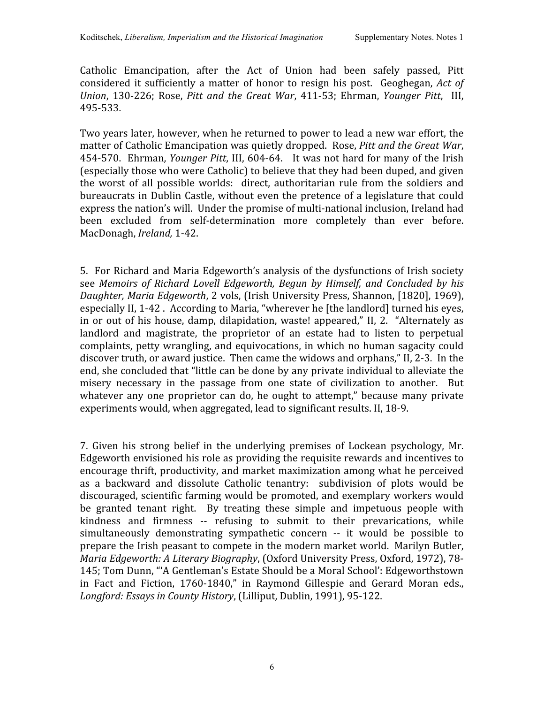Catholic Emancipation, after the Act of Union had been safely passed, Pitt considered it sufficiently a matter of honor to resign his post. Geoghegan, Act of *Union*, 130‐226; Rose, *Pitt and
the Great War*, 411‐53; Ehrman, *Younger Pitt*, III, 495‐533.

Two
years
later,
however,
when
he
returned
to
power
to
lead
a new
war
effort,
the matter
of
Catholic
Emancipation
was
quietly
dropped. Rose, *Pitt
and
the
Great
War*, 454-570. Ehrman, *Younger Pitt*, III, 604-64. It was not hard for many of the Irish (especially
those
who
were
Catholic)
to
believe
that
they
had
been
duped,
and
given the worst of all possible worlds: direct, authoritarian rule from the soldiers and bureaucrats in Dublin Castle, without even the pretence of a legislature that could express the nation's will. Under the promise of multi-national inclusion, Ireland had been excluded from self-determination more completely than ever before. MacDonagh, *Ireland,*1‐42.

5. For
Richard
and
Maria
Edgeworth's
analysis
of
the
dysfunctions
of
Irish
society see *Memoirs of Richard Lovell Edgeworth, Begun by
Himself, and Concluded by his*  Daughter, Maria Edgeworth, 2 vols, (Irish University Press, Shannon, [1820], 1969), especially II, 1-42. According to Maria, "wherever he [the landlord] turned his eyes, in or out of his house, damp, dilapidation, waste! appeared," II, 2. "Alternately as landlord and magistrate, the proprietor of an estate had to listen to perpetual complaints,
petty
wrangling,
and
equivocations,
in
which
no
human
sagacity
could discover truth, or award justice. Then came the widows and orphans," II, 2-3. In the end, she concluded that "little can be done by any private individual to alleviate the misery necessary in the passage from one state of civilization to another. But whatever any one proprietor can do, he ought to attempt," because many private experiments would, when aggregated, lead to significant results, II, 18-9.

7. Given his strong belief in the underlying premises of Lockean psychology, Mr. Edgeworth envisioned his role as providing the requisite rewards and incentives to encourage
thrift,
productivity,
and
market
maximization
among
what
he
perceived as a backward and dissolute Catholic tenantry: subdivision of plots would be discouraged,
scientific
farming
would
be
promoted,
and
exemplary
workers
would be granted tenant right. By treating these simple and impetuous people with kindness and firmness -- refusing to submit to their prevarications, while simultaneously demonstrating sympathetic concern -- it would be possible to prepare
the
Irish
peasant
to
compete
in
the
modern
market
world. Marilyn
Butler, Maria Edgeworth: A Literary Biography, (Oxford University Press, Oxford, 1972), 78-145; Tom Dunn, "'A Gentleman's Estate Should be a Moral School': Edgeworthstown in Fact and Fiction, 1760-1840," in Raymond Gillespie and Gerard Moran eds., *Longford:
Essays
in
County
History*,
(Lilliput,
Dublin,
1991),
95‐122.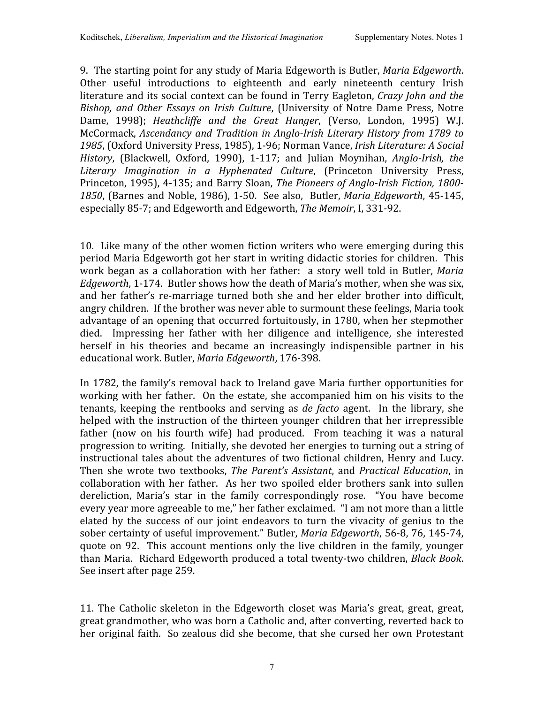9. The
starting
point
for
any
study
of
Maria
Edgeworth
is
Butler, *Maria
Edgeworth*. Other useful introductions to eighteenth and early nineteenth century Irish literature and its social context can be found in Terry Eagleton, *Crazy John and the* Bishop, and Other Essays on Irish Culture, (University of Notre Dame Press, Notre Dame, 1998); Heathcliffe and the Great Hunger, (Verso, London, 1995) W.J. McCormack, Ascendancy and Tradition in Anglo-Irish Literary History from 1789 to 1985, (Oxford University Press, 1985), 1-96; Norman Vance, *Irish Literature: A Social* History, (Blackwell, Oxford, 1990), 1-117; and Julian Moynihan, Anglo-Irish, the Literary Imagination in a Hyphenated Culture, (Princeton University Press, Princeton, 1995), 4-135; and Barry Sloan, The Pioneers of Anglo-Irish Fiction, 1800-1850, (Barnes and Noble, 1986), 1-50. See also, Butler, *Maria Edgeworth*, 45-145, especially
85‐7;
and
Edgeworth
and
Edgeworth, *The
Memoir*,
I,
331‐92.

10. Like many of the other women fiction writers who were emerging during this period Maria Edgeworth got her start in writing didactic stories for children. This work began as a collaboration with her father: a story well told in Butler, *Maria Edgeworth*, 1-174. Butler shows how the death of Maria's mother, when she was six, and her
father's re‐marriage
turned both she and her elder brother into difficult, angry
children. If
the
brother
was
never
able
to
surmount
these
feelings,
Maria took advantage of an opening that occurred fortuitously, in 1780, when her stepmother died. Impressing her father with her diligence and intelligence, she interested herself in his theories and became an increasingly indispensible partner in his educational
work. Butler, *Maria
Edgeworth*,
176‐398.

In 1782, the family's removal back to Ireland gave Maria further opportunities for working with her father. On the estate, she accompanied him on his visits to the tenants, keeping the rentbooks and serving as *de facto* agent. In the library, she helped with the instruction of the thirteen younger children that her irrepressible father (now on his fourth wife) had produced. From teaching it was a natural progression to writing. Initially, she devoted her energies to turning out a string of instructional
tales
about
the
adventures
of
two
fictional children,
Henry
and Lucy. Then she wrote
two textbooks, *The Parent's Assistant*, and *Practical Education*, in collaboration with her father. As her two spoiled elder brothers sank into sullen dereliction, Maria's star in the family correspondingly rose. "You have become every year more agreeable to me," her father exclaimed. "I am not more than a little elated by the success of our joint endeavors to turn the vivacity of genius to the sober
certainty
of
useful
improvement."
Butler, *Maria
Edgeworth*,
56‐8,
76,
145‐74, quote on
92. This account
mentions only
the
live children in
the
family, younger than
Maria. Richard
Edgeworth
produced
a
total
twenty‐two
children, *Black
Book*. See
insert
after
page 259.

11. The Catholic skeleton in the Edgeworth closet was Maria's great, great, great, great
grandmother,
who
was
born
a
Catholic
and,
after
converting,
reverted
back
to her original faith. So zealous did she become, that she cursed her own Protestant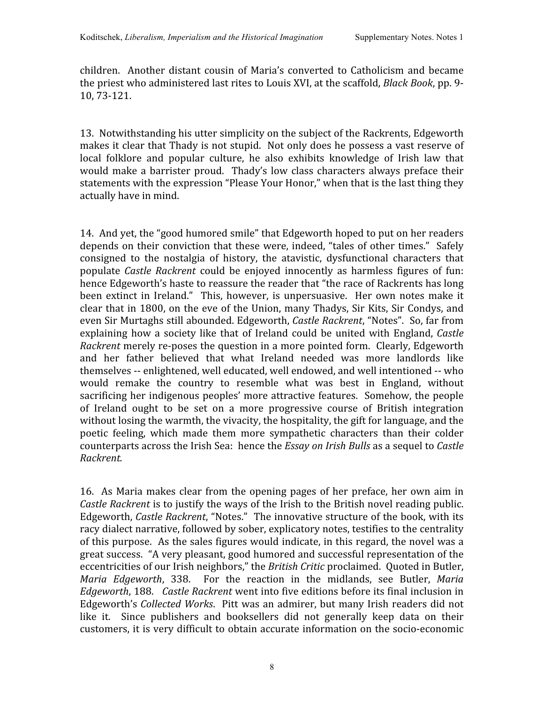children. Another
distant cousin of Maria's converted
to
Catholicism and
became the
priest
who
administered
last
rites
to
Louis
XVI,
at
the
scaffold, *Black
Book*,
pp. 9‐ 10,
73‐121.

13. Notwithstanding his utter simplicity on the subject of the Rackrents, Edgeworth makes it clear that Thady is not stupid. Not only does he possess a vast reserve of local folklore and popular culture, he also exhibits knowledge of Irish law that would make a barrister proud. Thady's low class characters always preface their statements with the expression "Please Your Honor," when that is the last thing they actually
have
in
mind.

14. And
yet,
the
"good
humored
smile"
that
Edgeworth
hoped
to
put
on
her
readers depends on their conviction that these were, indeed, "tales of other times." Safely consigned to the nostalgia of history, the atavistic, dysfunctional characters that populate *Castle Rackrent* could be enjoyed innocently as harmless figures of fun: hence Edgeworth's haste to reassure the reader that "the race of Rackrents has long been extinct in Ireland." This, however, is unpersuasive. Her own notes make it clear
that in
1800,
on
the
eve
of
the
Union,
many
Thadys,
Sir
Kits,
Sir
Condys,
and even
Sir
Murtaghs
still
abounded.
Edgeworth, *Castle
Rackrent*,
"Notes". So, far
from explaining how a society like that of Ireland could be united with England, *Castle* Rackrent merely re-poses the question in a more pointed form. Clearly, Edgeworth and her father believed that what Ireland needed was more landlords like themselves
‐‐ enlightened,
well
educated,
well
endowed,
and
well
intentioned
‐‐ who would remake the country to resemble what was best in England, without sacrificing her indigenous peoples' more attractive features. Somehow, the people of Ireland ought to be set on a more progressive course of British integration without losing the warmth, the vivacity, the hospitality, the gift for language, and the poetic feeling, which made them more sympathetic characters than their colder counterparts
across
the
Irish
Sea: hence
the *Essay
on
Irish
Bulls* as
a
sequel
to *Castle Rackrent.*

16. As Maria makes clear from the opening pages of her preface, her own aim in Castle Rackrent is to justify the ways of the Irish to the British novel reading public. Edgeworth, Castle Rackrent, "Notes." The innovative structure of the book, with its racy dialect narrative, followed by sober, explicatory notes, testifies to the centrality of this purpose. As the sales figures would indicate, in this regard, the novel was a great
success. "A
very
pleasant,
good
humored
and
successful
representation
of
the eccentricities of our Irish neighbors," the British Critic proclaimed. Quoted in Butler, Maria *Edgeworth*, 338. For the reaction in the midlands, see Butler, Maria Edgeworth, 188. Castle Rackrent went into five editions before its final inclusion in Edgeworth's Collected Works. Pitt was an admirer, but many Irish readers did not like it. Since publishers and booksellers did not generally keep data on their customers,
it
is
very
difficult
to
obtain
accurate
information
on
the
socio‐economic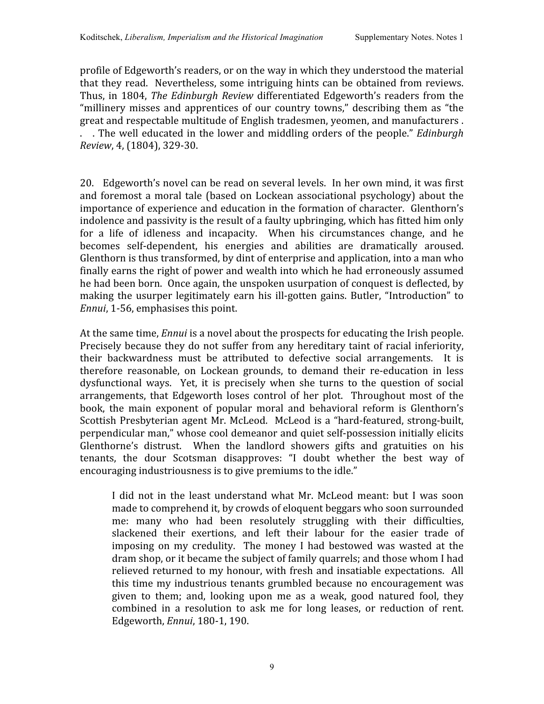profile
of
Edgeworth's
readers,
or
on
the
way
in
which
they
understood
the
material that
they
read. Nevertheless,
some
intriguing
hints
can
be
obtained from
reviews. Thus,
in
1804, *The
Edinburgh
Review* differentiated
Edgeworth's readers
from
the "millinery misses and apprentices of our country towns," describing them as "the great
and
respectable
multitude
of
English
tradesmen,
yeomen,
and
manufacturers
. . The well educated in the lower and middling orders of the people." *Edinburgh Review*,
4,
(1804),
329‐30.

20. Edgeworth's
novel
can be
read
on
several
levels. In her
own
mind,
it
was
first and
foremost a
moral
tale
(based
on
Lockean associational
psychology) about
the importance of experience and education in the formation of character. Glenthorn's indolence and passivity is the result of a faulty upbringing, which has fitted him only for a life of idleness and incapacity. When his circumstances change, and he becomes self‐dependent, his energies and abilities are dramatically aroused. Glenthorn is thus transformed, by dint of enterprise and application, into a man who finally earns the right of power and wealth into which he had erroneously assumed he had been born. Once again, the unspoken usurpation of conquest is deflected, by making the usurper legitimately earn his ill-gotten gains. Butler, "Introduction" to *Ennui*,
1‐56,
emphasises
this
point.

At the same time, *Ennui* is a novel about the prospects for educating the Irish people. Precisely because they do not suffer from any hereditary taint of racial inferiority, their backwardness must be attributed to defective social arrangements. It is therefore reasonable, on Lockean grounds, to demand their re-education in less dysfunctional ways. Yet, it is precisely when she turns to the question of social arrangements,
that Edgeworth loses control of her plot. Throughout most of
the book, the main exponent of popular moral and behavioral reform is Glenthorn's Scottish Presbyterian agent Mr. McLeod. McLeod is a "hard-featured, strong-built, perpendicular
man,"
whose
cool
demeanor
and
quiet
self‐possession
initially
elicits Glenthorne's distrust. When the landlord showers gifts and gratuities on his tenants, the dour Scotsman disapproves: "I doubt whether the best way of encouraging industriousness is to give premiums to the idle."

I did not in the least understand what Mr. McLeod meant: but I was soon made
to
comprehend
it,
by
crowds
of
eloquent
beggars
who
soon
surrounded me: many who had been resolutely struggling with their difficulties, slackened their exertions, and left their labour for the easier trade of imposing on my credulity. The money I had bestowed was wasted at
the dram
shop,
or
it
became
the
subject
of
family
quarrels;
and
those
whom
I
had relieved returned to my honour, with fresh and insatiable expectations. All this
time
my
industrious
tenants
grumbled
because
no
encouragement
was given to them; and, looking upon me as a weak, good natured fool, they combined in a resolution to ask me for long leases, or reduction of rent. Edgeworth, *Ennui*,
180‐1,
190.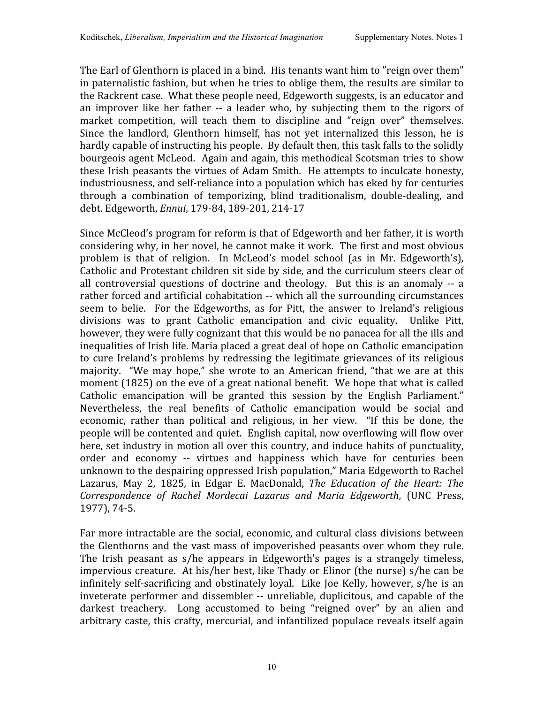The Earl of Glenthorn is placed in a bind. His tenants want him to "reign over them" in
paternalistic
fashion,
but
when
he
tries
to
oblige
them,
the
results
are
similar
to the Rackrent case. What these people need, Edgeworth suggests, is an educator and an improver like her father -- a leader who, by subjecting them to the rigors of market competition, will teach them to discipline and "reign over" themselves. Since the landlord, Glenthorn himself, has not yet internalized this lesson, he is hardly capable of instructing his people. By default then, this task falls to the solidly bourgeois
agent
McLeod. Again
and
again,
this
methodical
Scotsman
tries
to
show these Irish peasants the virtues of Adam Smith. He attempts to inculcate honesty, industriousness, and self-reliance into a population which has eked by for centuries through a combination of temporizing, blind traditionalism, double-dealing, and debt.
Edgeworth, *Ennui*,
179‐84,
189‐201,
214‐17

Since
McCleod's
program
for
reform
is
that
of
Edgeworth
and
her
father,
it
is
worth considering why, in her novel, he cannot make it work. The first and most obvious problem is that of religion. In McLeod's model school (as in Mr. Edgeworth's), Catholic and Protestant children sit side by side, and the curriculum steers clear of all controversial questions of doctrine and theology. But this is an anomaly -- a rather
forced
and
artificial
cohabitation
‐‐ which
all the
surrounding
circumstances seem to belie. For the Edgeworths, as for Pitt, the answer to Ireland's religious divisions was to grant Catholic emancipation and civic equality. Unlike Pitt, however, they were fully cognizant that this would be no panacea for all the ills and inequalities
of
Irish
life.
Maria
placed
a
great
deal
of
hope
on
Catholic
emancipation to cure Ireland's problems by redressing the legitimate grievances of its religious majority. "We may hope," she wrote to an American friend, "that we are at this moment (1825) on the eve of a great national benefit. We hope that what is called Catholic emancipation will be granted this session by the English Parliament." Nevertheless, the real benefits of Catholic emancipation would be social and economic, rather than political and religious, in her view. "If this be done, the people
will
be
contented
and
quiet. English
capital,
now
overflowing
will
flow
over here, set industry in motion all over this country, and induce habits of punctuality, order and economy ‐‐ virtues and happiness which have for centuries been unknown to the despairing oppressed Irish population," Maria Edgeworth to Rachel Lazarus, May 2, 1825, in Edgar E. MacDonald, The Education of the Heart: The *Correspondence of Rachel Mordecai Lazarus and Maria Edgeworth*, (UNC Press, 1977),
74‐5.

Far more intractable are the social, economic, and cultural class divisions between the Glenthorns and the vast mass of impoverished peasants over whom they rule. The Irish peasant as s/he appears in Edgeworth's pages is a strangely timeless, impervious creature. At his/her best, like Thady or Elinor (the nurse) s/he can be infinitely self-sacrificing and obstinately loyal. Like Joe Kelly, however, s/he is an inveterate performer and dissembler -- unreliable, duplicitous, and capable of the darkest treachery. Long accustomed to being "reigned over" by an alien and arbitrary caste, this crafty, mercurial, and infantilized populace reveals itself again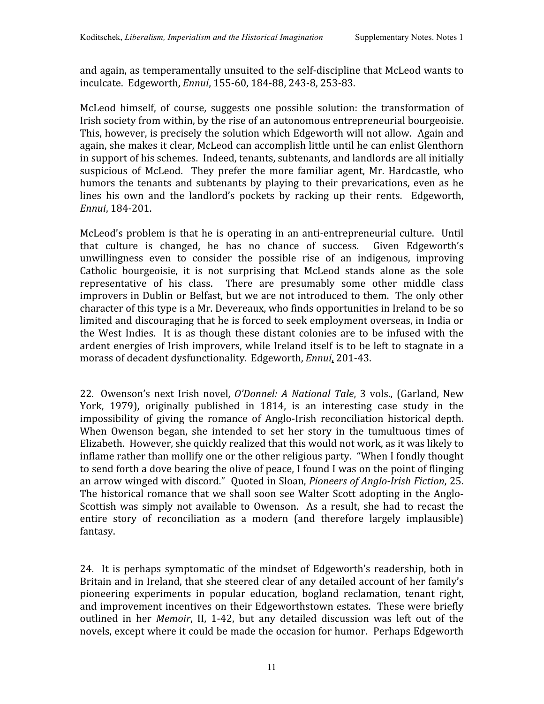and
again,
as
temperamentally
unsuited
to
the
self‐discipline
that McLeod
wants
to inculcate.

Edgeworth, *Ennui*,
155‐60,
184‐88,
243‐8,
253‐83.

McLeod himself, of course, suggests one possible solution: the transformation of Irish society from within, by the rise of an autonomous entrepreneurial bourgeoisie. This, however, is precisely the solution which Edgeworth will not allow. Again and again,
she
makes
it
clear,
McLeod
can
accomplish
little
until
he
can
enlist
Glenthorn in
support
of
his
schemes. Indeed,
tenants,
subtenants,
and
landlords
are
all
initially suspicious of McLeod. They prefer the more familiar agent, Mr. Hardcastle, who humors the tenants and subtenants by playing to their prevarications, even as he lines his own and the landlord's pockets by racking up their rents. Edgeworth, *Ennui*,
184‐201.

McLeod's problem is that he is operating in an anti-entrepreneurial culture. Until that culture is changed, he has no chance of success. Given Edgeworth's unwillingness even to consider the possible rise of an indigenous, improving Catholic bourgeoisie, it is not surprising that McLeod stands alone as the sole representative of his class. There are presumably some other middle class improvers in Dublin or Belfast, but we are not introduced to them. The only other character
of
this
type
is
a
Mr.
Devereaux,
who
finds
opportunities
in
Ireland
to be
so limited
and
discouraging
that
he
is
forced
to
seek
employment
overseas,
in
India or the West Indies. It is as though these distant colonies are to be infused with the ardent energies of Irish improvers, while Ireland itself is to be left to stagnate in a morass
of
decadent
dysfunctionality. Edgeworth, *Ennui*,
201‐43.

22. Owenson's next
Irish novel, *O'Donnel: A
National Tale*, 3 vols.,
(Garland,
New York, 1979), originally published in 1814, is an interesting case study in the impossibility of giving the romance of Anglo-Irish reconciliation historical depth. When Owenson began, she intended to set her story in the tumultuous times of Elizabeth. However, she quickly realized that this would not work, as it was likely to inflame rather than mollify one or the other religious party. "When I fondly thought to send forth a dove bearing the olive of peace. I found I was on the point of flinging an arrow winged with discord." Quoted in Sloan, Pioneers of Anglo-Irish Fiction, 25. The historical romance that we shall soon see Walter Scott adopting in the Anglo-Scottish was simply not available to Owenson. As a result, she had to recast the entire story of reconciliation as a modern (and therefore largely implausible) fantasy.

24. It is perhaps symptomatic of the mindset of Edgeworth's readership, both in Britain and in Ireland, that she steered clear of any detailed account of her family's pioneering experiments in popular education, bogland reclamation, tenant right, and
improvement
incentives
on
their
Edgeworthstown
estates. These
were
briefly outlined in her *Memoir*, II, 1-42, but any detailed discussion was left out of the novels,
except
where
it could
be
made
the
occasion
for
humor. Perhaps
Edgeworth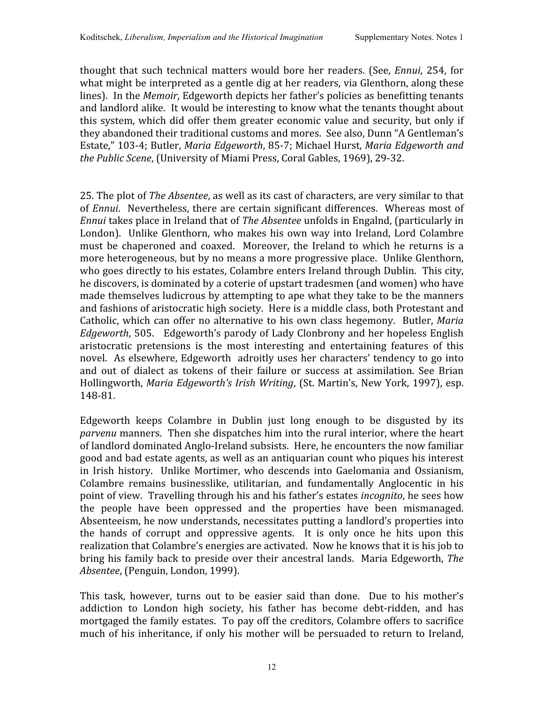thought that such technical matters would bore her readers. (See, *Ennui*, 254, for what might be interpreted as a gentle dig at her readers, via Glenthorn, along these lines). In the *Memoir*, Edgeworth depicts her father's policies as benefitting tenants and landlord alike. It would be interesting to know what the tenants thought about this system, which
did
offer
them
greater
economic
value
and security,
but
only
if they abandoned their traditional customs and mores. See also, Dunn "A Gentleman's Estate,"
103‐4;
Butler, *Maria
Edgeworth*,
85‐7;
Michael
Hurst, *Maria
Edgeworth
and the
Public
Scene*,
(University
of
Miami
Press,
Coral
Gables,
1969),
29‐32.

25. The plot of *The Absentee*, as well as its cast of characters, are very similar to that of *Ennui*. Nevertheless, there are certain significant differences. Whereas most of Ennui takes place in Ireland that of *The Absentee* unfolds in Engalnd, (particularly in London). Unlike
Glenthorn,
who
makes
his
own
way
into
Ireland,
Lord
Colambre must be chaperoned and coaxed. Moreover, the Ireland to which he returns is a more heterogeneous, but by no means a more progressive place. Unlike Glenthorn, who goes directly to his estates, Colambre enters Ireland through Dublin. This city, he discovers, is dominated by a coterie of upstart tradesmen (and women) who have made themselves ludicrous by attempting to ape what they take to be the manners and
fashions
of
aristocratic
high
society. Here
is
a
middle
class,
both
Protestant
and Catholic, which can offer no alternative to his own class hegemony. Butler, Maria *Edgeworth*,
505. Edgeworth's
parody
of
Lady
Clonbrony
and
her
hopeless
English aristocratic pretensions is the most interesting and entertaining features of this novel. As
elsewhere,
Edgeworth adroitly
uses
her
characters'
tendency
to
go
into and out of dialect as tokens of their failure or success at assimilation. See Brian Hollingworth, *Maria Edgeworth's Irish Writing*, (St. Martin's, New York, 1997), esp. 148‐81.

Edgeworth keeps Colambre in Dublin just long enough to be disgusted by its parvenu manners. Then she dispatches him into the rural interior, where the heart of landlord dominated Anglo-Ireland subsists. Here, he encounters the now familiar good
and
bad
estate
agents,
as
well
as
an
antiquarian
count
who
piques
his
interest in
Irish history. Unlike Mortimer,
who descends into Gaelomania and
Ossianism, Colambre remains businesslike, utilitarian, and fundamentally Anglocentic in his point
of
view. Travelling
through
his
and
his
father's
estates *incognito*, he
sees
how the people have been oppressed and the properties have been mismanaged. Absenteeism,
he
now
understands,
necessitates
putting
a
landlord's
properties
into the hands of corrupt and oppressive agents. It is only once he hits upon this realization that Colambre's energies are activated. Now he knows that it is his job to bring
his
family
back
to
preside
over
their
ancestral
lands. Maria
Edgeworth, *The Absentee*,
(Penguin,
London,
1999).

This task, however, turns out to be easier said than done. Due to his mother's addiction to London high society, his father has become debt-ridden, and has mortgaged
the
family
estates. To
pay
off
the
creditors,
Colambre
offers
to
sacrifice much of his inheritance, if only his mother will be persuaded to return to Ireland,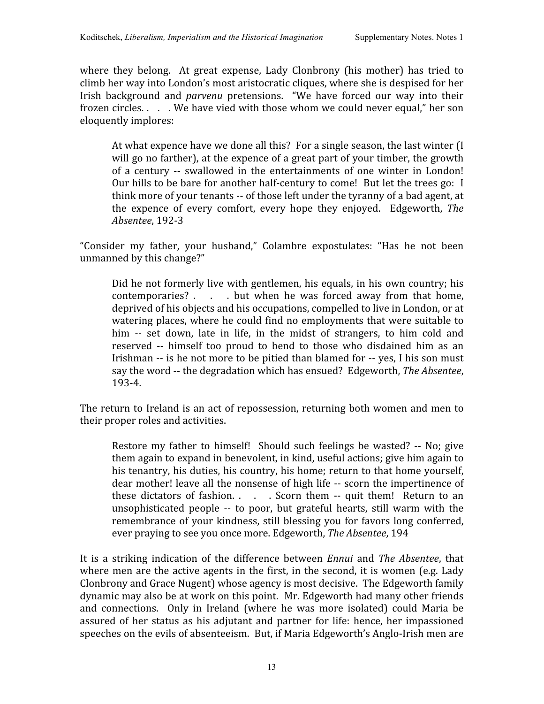where they belong. At great expense, Lady Clonbrony (his mother) has tried to climb
her
way
into
London's
most
aristocratic
cliques,
where
she
is
despised
for
her Irish background and *parvenu* pretensions. "We have forced our way into their frozen circles.... We have vied with those whom we could never equal," her son eloquently
implores:

At what expence have we done all this? For a single season, the last winter (I will go no farther), at the expence of a great part of your timber, the growth of a century -- swallowed in the entertainments of one winter in London! Our hills to be bare for another half-century to come! But let the trees go: I think more of your tenants -- of those left under the tyranny of a bad agent, at the expence of every comfort, every hope they enjoyed. Edgeworth, *The Absentee*,
192‐3

"Consider my father, your husband," Colambre expostulates: "Has he not been unmanned
by
this
change?"

Did he not formerly live with gentlemen, his equals, in his own country; his contemporaries? . . . but when he was forced away from that home, deprived of his objects and his occupations, compelled to live in London, or at watering
places,
where
he
could
find
no
employments
that
were
suitable
to him -- set down, late in life, in the midst of strangers, to him cold and reserved -- himself too proud to bend to those who disdained him as an Irishman -- is he not more to be pitied than blamed for -- yes. I his son must say the word -- the degradation which has ensued? Edgeworth, The Absentee, 193‐4.

The
return
to
Ireland
is
an
act
of
repossession,
returning
both
women
and
men
to their
proper
roles
and
activities.

Restore my father to himself! Should such feelings be wasted? -- No; give them
again
to
expand
in
benevolent,
in
kind,
useful
actions;
give
him
again
to his tenantry, his duties, his country, his home; return to that home yourself, dear mother! leave all the nonsense of high life -- scorn the impertinence of these dictators of fashion. . . . . Scorn them -- quit them! Return to an unsophisticated people -- to poor, but grateful hearts, still warm with the remembrance of your kindness, still blessing you for favors long conferred, ever
praying
to
see
you
once
more.
Edgeworth, *The
Absentee*,
194

It is a striking indication of the difference between *Ennui* and *The Absentee*, that where men are the active agents in the first, in the second, it is women (e.g. Lady Clonbrony
and
Grace
Nugent)
whose
agency
is
most
decisive. The
Edgeworth
family dynamic
may
also
be
at
work
on
this
point. Mr.
Edgeworth
had
many
other
friends and connections. Only in Ireland (where he was more isolated) could Maria be assured of her status as his adjutant and partner for life: hence, her impassioned speeches on the evils of absenteeism. But, if Maria Edgeworth's Anglo-Irish men are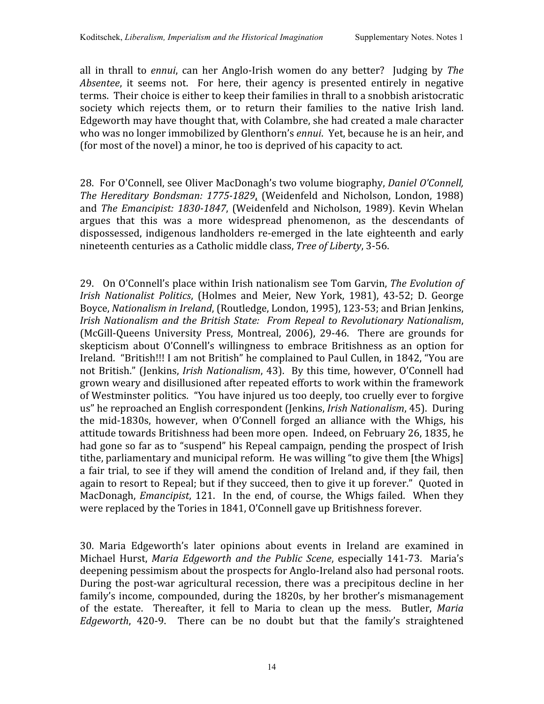all in thrall to *ennui*, can her Anglo-Irish women do any better? Judging by The Absentee, it seems not. For here, their agency is presented entirely in negative terms. Their choice is either to keep their families in thrall to a snobbish aristocratic society which rejects them, or to return their families to the native Irish land. Edgeworth may have thought that, with Colambre, she had created a male character who was no longer immobilized by Glenthorn's *ennui*. Yet, because he is an heir, and (for
most
of
the
novel)
a
minor,
he
too
is
deprived
of
his
capacity
to
act.

28. For O'Connell, see Oliver MacDonagh's two volume biography, *Daniel O'Connell*, *The Hereditary Bondsman: 17751829*, (Weidenfeld and
Nicholson, London, 1988) and *The Emancipist: 1830-1847*, (Weidenfeld and Nicholson, 1989). Kevin Whelan argues that this was a more widespread phenomenon, as the descendants of dispossessed, indigenous landholders re-emerged in the late eighteenth and early nineteenth
centuries
as
a
Catholic
middle
class, *Tree
of
Liberty*,
3‐56.

29. On
O'Connell's
place
within
Irish
nationalism
see Tom
Garvin, *The
Evolution
of Irish Nationalist Politics*, (Holmes and Meier, New York, 1981), 43‐52; D. George Boyce, *Nationalism in Ireland*, (Routledge, London, 1995), 123-53; and Brian Jenkins, Irish Nationalism and the British State: From Repeal to Revolutionary Nationalism, (McGill‐Queens University Press, Montreal, 2006), 29‐46. There are grounds for skepticism about O'Connell's willingness to embrace Britishness as an option for Ireland. "British!!! I am not British" he complained to Paul Cullen, in 1842, "You are not
British."
(Jenkins, *Irish
Nationalism*,
43). By
this
time,
however,
O'Connell had grown
weary
and
disillusioned
after repeated
efforts
to
work
within the
framework of Westminster
politics. "You
have
injured
us
too
deeply,
too
cruelly
ever
to
forgive us" he
reproached
an English
correspondent (Jenkins, *Irish
Nationalism*,
45). During the mid‐1830s, however, when O'Connell forged an alliance with the Whigs, his attitude
towards
Britishness
had
been
more
open. Indeed,
on
February
26,
1835,
he had gone so far as to "suspend" his Repeal campaign, pending the prospect of Irish tithe, parliamentary and municipal reform. He was willing "to give them [the Whigs] a fair trial, to see if they will amend the condition of Ireland and, if they fail, then again to resort to Repeal; but if they succeed, then to give it up forever." Quoted in MacDonagh, *Emancipist*, 121. In the end, of course, the Whigs failed. When they were replaced by the Tories in 1841, O'Connell gave up Britishness forever.

30. Maria Edgeworth's later opinions about events in Ireland are examined in Michael Hurst, Maria Edgeworth and the Public Scene, especially 141-73. Maria's deepening
pessimism
about
the
prospects
for
Anglo‐Ireland
also
had
personal
roots. During the post-war agricultural recession, there was a precipitous decline in her family's
income,
compounded,
during
the
1820s,
by
her
brother's
mismanagement of the estate. Thereafter, it fell to Maria to clean up the mess. Butler, Maria Edgeworth, 420-9. There can be no doubt but that the family's straightened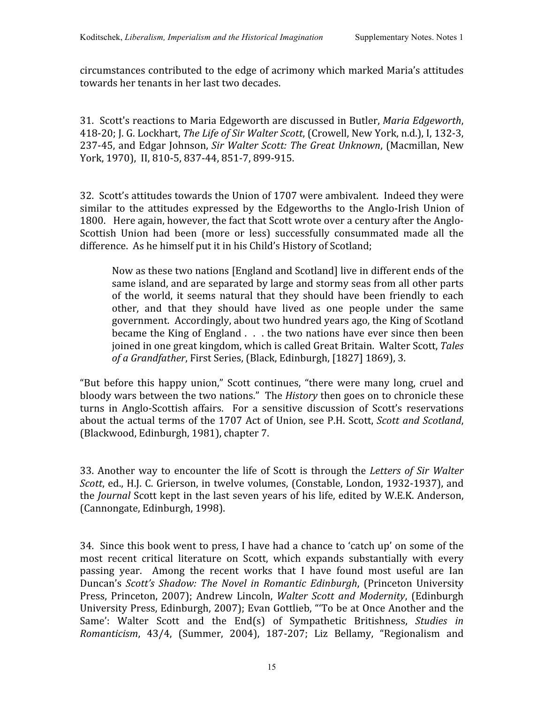circumstances
contributed
to
the
edge
of acrimony
which
marked
Maria's
attitudes towards
her
tenants
in
her
last
two
decades.

31. Scott's
reactions
to
Maria
Edgeworth
are
discussed
in
Butler, *Maria
Edgeworth*, 418‐20;
J.
G.
Lockhart, *The
Life
of
Sir
Walter
Scott*,
(Crowell,
New
York,
n.d.),
I, 132‐3, 237‐45,
and
Edgar
Johnson, *Sir
Walter
Scott:
The
Great
Unknown*, (Macmillan,
New York, 1970), II, 810-5, 837-44, 851-7, 899-915.

32. Scott's
attitudes
towards
the
Union
of
1707
were
ambivalent. Indeed
they
were similar to the attitudes expressed by the Edgeworths to the Anglo-Irish Union of 1800. Here again, however, the fact that Scott wrote over a century after the Anglo-Scottish Union had been (more or less) successfully consummated made all the difference.

As
he
himself
put
it
in
his
Child's
History
of
Scotland;

Now
as
these
two
nations
[England
and
Scotland]
live
in
different
ends
of
the same
island,
and
are
separated
by
large
and
stormy
seas
from
all
other
parts of the world, it seems natural that they should have been friendly to each other, and that they should have lived as one people under the same government. Accordingly,
about
two
hundred
years
ago,
the
King
of
Scotland became the King of England . . . the two nations have ever since then been joined
in
one
great
kingdom,
which
is
called
Great
Britain. Walter
Scott, *Tales of
a
Grandfather*,
First
Series,
(Black,
Edinburgh,
[1827]
1869),
3.

"But before this happy union," Scott continues, "there were many long, cruel and bloody wars between the two nations." The *History* then goes on to chronicle these turns in Anglo‐Scottish affairs. For a sensitive discussion of Scott's reservations about the actual terms of the 1707 Act of Union, see P.H. Scott, Scott and Scotland, (Blackwood,
Edinburgh,
1981),
chapter
7.

33.
Another
way
to encounter
the
life
of Scott
is
through
the *Letters
of Sir
Walter*  Scott, ed., H.J. C. Grierson, in twelve volumes, (Constable, London, 1932-1937), and the *Journal* Scott kept in the last seven years of his life, edited by W.E.K. Anderson, (Cannongate,
Edinburgh,
1998).

34. Since
this
book
went
to
press,
I
have
had
a
chance
to
'catch
up'
on
some
of
the most recent critical literature on Scott, which expands substantially with every passing year. Among the recent works that I have found most useful are Ian Duncan's *Scott's Shadow: The
Novel in Romantic Edinburgh*,
(Princeton University Press, Princeton, 2007); Andrew Lincoln, *Walter Scott and Modernity*,
(Edinburgh University Press, Edinburgh, 2007); Evan Gottlieb, "To be at Once Another and the Same': Walter Scott and the End(s) of Sympathetic Britishness, Studies in Romanticism, 43/4, (Summer, 2004), 187-207; Liz Bellamy, "Regionalism and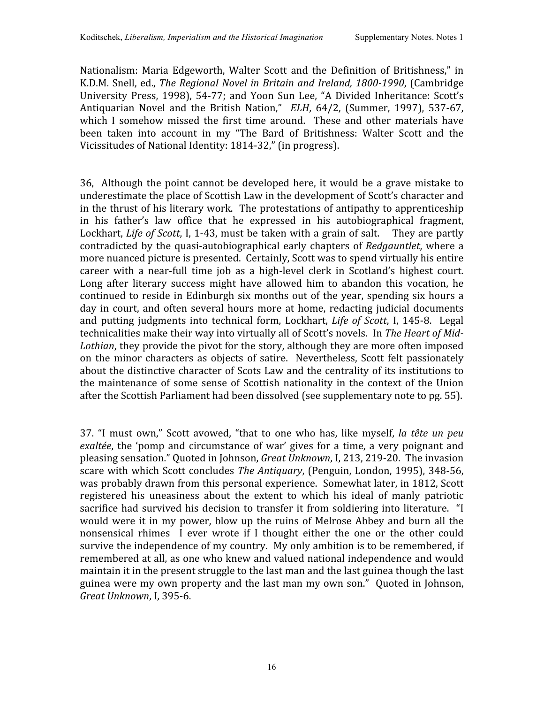Nationalism: Maria Edgeworth, Walter Scott and the Definition of Britishness," in K.D.M. Snell, ed., The Regional Novel in Britain and Ireland, 1800-1990, (Cambridge University Press, 1998), 54-77; and Yoon Sun Lee, "A Divided Inheritance: Scott's Antiquarian Novel and the British Nation," *ELH*, 64/2, (Summer, 1997), 537-67, which I somehow missed the first time around. These and other materials have been taken into account in my "The Bard of Britishness: Walter Scott and the Vicissitudes
of
National
Identity:
1814‐32,"
(in
progress).

36, Although
the
point cannot
be
developed
here,
it
would
be a
grave
mistake
to underestimate the place of Scottish Law in the development of Scott's character and in
the
thrust of
his
literary
work. The
protestations
of
antipathy
to
apprenticeship in his father's law office that he expressed in his autobiographical fragment, Lockhart, *Life of Scott*, I, 1-43, must be taken with a grain of salt. They are partly contradicted by the quasi-autobiographical early chapters of *Redgauntlet*, where a more
nuanced
picture
is
presented. Certainly,
Scott
was
to
spend
virtually
his
entire career with a near-full time job as a high-level clerk in Scotland's highest court. Long after literary success might have allowed him to abandon this vocation, he continued
to reside
in
Edinburgh
six
months
out
of
the
year,
spending
six
hours
a day in court, and often several hours more at home, redacting judicial documents and putting judgments into technical form, Lockhart, Life of Scott, I, 145-8. Legal technicalities make their way into virtually all of Scott's novels. In The Heart of Mid-Lothian, they provide the pivot for the story, although they are more often imposed on
the minor characters as objects of satire. Nevertheless, Scott
felt passionately about the distinctive character of Scots Law and the centrality of its institutions to the
maintenance
of some sense
of Scottish
nationality
in
the context
of
the
Union after
the
Scottish
Parliament
had
been
dissolved
(see
supplementary
note
to
pg.
55).

37. "I must own," Scott avowed, "that to one who has, like myself, la tête un peu exaltée, the 'pomp and circumstance of war' gives for a time, a very poignant and pleasing
sensation."
Quoted
in
Johnson, *Great
Unknown*,
I,
213,
219‐20. The
invasion scare
with
which
Scott
concludes *The
Antiquary*,
(Penguin,
London,
1995),
348‐56, was probably drawn from this personal experience. Somewhat later, in 1812, Scott registered his uneasiness about the extent to which his ideal of manly patriotic sacrifice had survived his decision to transfer it from soldiering into literature. "I would were it in my power, blow up the ruins of Melrose Abbey and burn all the nonsensical rhimes I ever wrote if I thought either the one or the other could survive the independence of my country. My only ambition is to be remembered, if remembered at all, as one who knew and valued national independence and would maintain it in the present struggle to the last man and the last guinea though the last guinea
were
my
own
property
and
the
last
man
my
own
son." Quoted
in
Johnson, *Great
Unknown*,
I,
395‐6.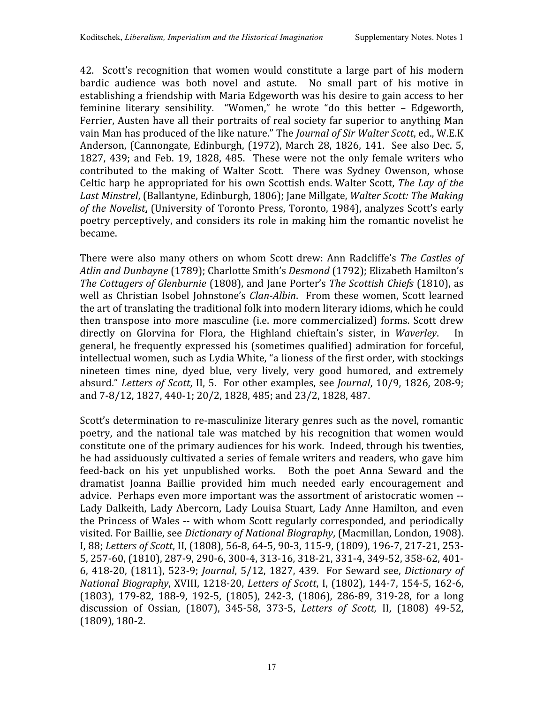42. Scott's recognition that women would constitute a large part of his modern bardic audience was both novel and astute. No small part of his motive in establishing
a
friendship
with
Maria
Edgeworth
was
his
desire
to
gain
access
to
her feminine literary sensibility. "Women," he wrote "do this better - Edgeworth, Ferrier, Austen have all their portraits of real society far superior to anything Man vain Man has produced of the like nature." The *Journal of Sir Walter Scott*, ed., W.E.K Anderson,
(Cannongate,
Edinburgh,
(1972),
March
28,
1826, 141. See
also
Dec.
5, 1827, 439; and Feb. 19, 1828, 485. These
were not
the only
female
writers
who contributed to the making of Walter Scott. There was Sydney Owenson, whose Celtic
harp
he
appropriated
for
his
own
Scottish
ends. Walter
Scott, *The
Lay
of the*  Last Minstrel, (Ballantyne, Edinburgh, 1806); Jane Millgate, *Walter Scott: The Making* of the Novelist, (University of Toronto Press, Toronto, 1984), analyzes Scott's early poetry
perceptively,
and
considers
its
role
in
making
him
the
romantic
novelist he became.

There were also many others on whom Scott drew: Ann Radcliffe's *The Castles of* Atlin and Dunbayne (1789); Charlotte Smith's *Desmond* (1792); Elizabeth Hamilton's The Cottagers of Glenburnie (1808), and Jane Porter's The Scottish Chiefs (1810), as well as Christian Isobel Johnstone's *Clan-Albin*, From these women, Scott learned the art of translating the traditional folk into modern literary idioms, which he could then
transpose
into
more
masculine
(i.e.
more commercialized)
forms.
Scott
drew directly on Glorvina for Flora, the Highland chieftain's sister, in Waverley. In general,
he
frequently
expressed
his
(sometimes
qualified)
admiration
for
forceful, intellectual women, such as Lydia White, "a lioness of the first order, with stockings nineteen times nine, dyed blue, very lively, very good humored, and extremely absurd." *Letters
of
Scott*, II,
5. For
other
examples,
see *Journal*,
10/9,
1826,
208‐9; and 7-8/12, 1827, 440-1; 20/2, 1828, 485; and 23/2, 1828, 487.

Scott's determination to re-masculinize literary genres such as the novel, romantic poetry, and the national tale was matched by his recognition that women would constitute
one
of
the
primary
audiences
for
his
work. Indeed,
through
his
twenties, he had assiduously cultivated a series of female writers and readers, who gave him feed-back on his yet unpublished works. Both the poet Anna Seward and the dramatist Joanna Baillie provided him much needed early encouragement and advice. Perhaps even more important was the assortment of aristocratic women --Lady Dalkeith, Lady Abercorn, Lady Louisa Stuart, Lady Anne Hamilton, and even the Princess of Wales -- with whom Scott regularly corresponded, and periodically visited.
For
Baillie,
see *Dictionary
of
National
Biography*,
(Macmillan,
London,
1908). I, 88; Letters of Scott, II, (1808), 56-8, 64-5, 90-3, 115-9, (1809), 196-7, 217-21, 253-5, 257-60, (1810), 287-9, 290-6, 300-4, 313-16, 318-21, 331-4, 349-52, 358-62, 401-6,
418‐20,
(1811),
523‐9; *Journal*,
5/12,
1827,
439. For Seward see, *Dictionary of National Biography, XVIII, 1218-20, Letters of Scott, I, (1802), 144-7, 154-5, 162-6,* (1803), 179-82, 188-9, 192-5, (1805), 242-3, (1806), 286-89, 319-28, for a long discussion of Ossian, (1807), 345‐58, 373‐5, *Letters of Scott,* II, (1808) 49‐52, (1809),
180‐2.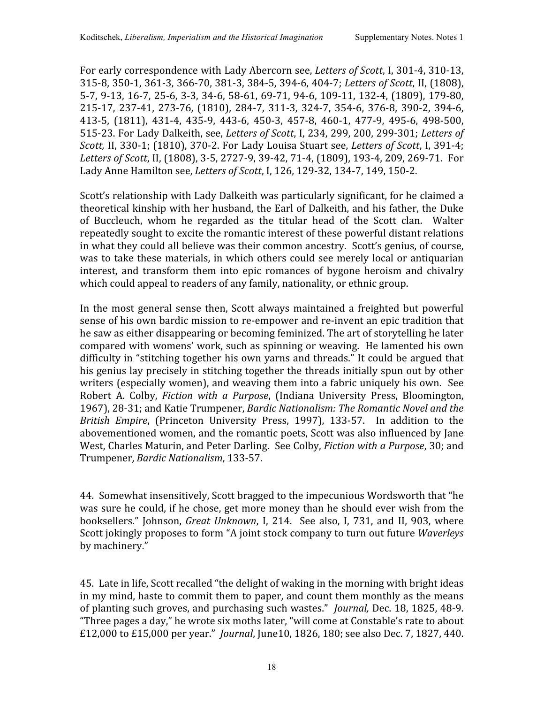For early correspondence with Lady Abercorn see, *Letters of Scott*, I, 301-4, 310-13, 315‐8,
350‐1,
361‐3,
366‐70,
381‐3,
384‐5,
394‐6,
404‐7; *Letters of
Scott*,
II,
(1808), 5-7, 9-13, 16-7, 25-6, 3-3, 34-6, 58-61, 69-71, 94-6, 109-11, 132-4, (1809), 179-80, 215-17, 237-41, 273-76, (1810), 284-7, 311-3, 324-7, 354-6, 376-8, 390-2, 394-6, 413‐5, (1811), 431‐4, 435‐9, 443‐6, 450‐3, 457‐8, 460‐1, 477‐9, 495‐6, 498‐500, 515‐23.
For
Lady
Dalkeith,
see, *Letters of
Scott*,
I,
234,
299,
200,
299‐301; *Letters of Scott,* II,
330‐1;
(1810),
370‐2.
For
Lady
Louisa
Stuart
see, *Letters of
Scott*,
I,
391‐4; Letters of Scott, II, (1808), 3-5, 2727-9, 39-42, 71-4, (1809), 193-4, 209, 269-71. For Lady
Anne
Hamilton
see, *Letters
of
Scott*,
I,
126,
129‐32,
134‐7,
149,
150‐2.

Scott's relationship with Lady Dalkeith was particularly significant, for he claimed a theoretical
kinship
with
her
husband,
the
Earl
of
Dalkeith,
and
his
father,
the
Duke of Buccleuch, whom he regarded as the titular head of the Scott clan. Walter repeatedly sought to excite the romantic interest of these powerful distant relations in what they could all believe was their common ancestry. Scott's genius, of course, was to take these materials, in which others could see merely local or antiquarian interest, and transform them into epic romances of bygone heroism and chivalry which could appeal to readers of any family, nationality, or ethnic group.

In the most general sense then, Scott always maintained a freighted but powerful sense of his own bardic mission to re-empower and re-invent an epic tradition that he
saw
as
either
disappearing
or
becoming
feminized.
The
art
of
storytelling he
later compared
with
womens'
work, such
as
spinning
or
weaving. He
lamented
his
own difficulty in "stitching together his own varns and threads." It could be argued that his genius lay precisely in stitching together the threads initially spun out by other writers (especially women), and weaving them into a fabric uniquely his own. See Robert A. Colby, *Fiction with a Purpose*, (Indiana University Press, Bloomington, 1967),
28‐31;
and
Katie
Trumpener, *Bardic
Nationalism:
The
Romantic
Novel
and
the*  British Empire, (Princeton University Press, 1997), 133-57. In addition to the abovementioned women, and the romantic poets, Scott was also influenced by Jane West, Charles
Maturin,
and
Peter
Darling. See
Colby, *Fiction
with
a
Purpose*,
30;
and Trumpener, *Bardic
Nationalism*,
133‐57.

44. Somewhat
insensitively,
Scott
bragged
to
the
impecunious
Wordsworth
that
"he was sure he could, if he chose, get more money than he should ever wish from the booksellers." Johnson, Great Unknown, I, 214. See also, I, 731, and II, 903, where Scott
jokingly
proposes
to
form
"A
joint
stock
company
to
turn
out
future *Waverleys* by
machinery."

45. Late
in
life,
Scott
recalled
"the
delight
of
waking
in
the
morning
with
bright
ideas in
my
mind,
haste
to
commit
them
to
paper,
and count
them
monthly
as
the
means of
planting
such
groves,
and
purchasing
such
wastes." *Journal,* Dec.
18,
1825, 48‐9. "Three pages a day," he wrote six moths later, "will come at Constable's rate to about £12,000 to £15,000 per year." *Journal*, June10, 1826, 180; see also Dec. 7, 1827, 440.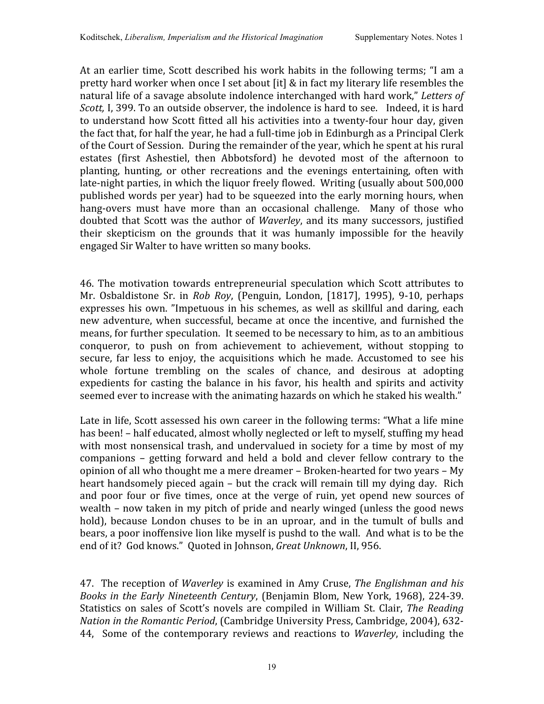At an earlier time, Scott described his work habits in the following terms; "I am a pretty hard worker when once I set about [it] & in fact my literary life resembles the natural
life
of
a
savage
absolute
indolence
interchanged
with
hard
work," *Letters of*  Scott, I, 399. To an outside observer, the indolence is hard to see. Indeed, it is hard to understand how Scott fitted all his activities into a twenty-four hour day, given the fact that, for half the year, he had a full-time job in Edinburgh as a Principal Clerk of
the
Court
of
Session. During
the
remainder
of
the
year,
which
he
spent
at
his
rural estates (first Ashestiel, then Abbotsford) he devoted most of the afternoon to planting, hunting, or other recreations and the evenings entertaining, often with late-night parties, in which the liquor freely flowed. Writing (usually about 500,000 published
words
per
year)
had
to
be
squeezed
into
the
early
morning
hours,
when hang-overs must have more than an occasional challenge. Many of those who doubted that Scott was the author of *Waverley*, and its many successors, justified their skepticism on the grounds that it was humanly impossible for the heavily engaged
Sir
Walter
to
have
written
so
many
books.

46.
The motivation
towards entrepreneurial speculation
which Scott attributes
to Mr. Osbaldistone Sr. in Rob Roy, (Penguin, London, [1817], 1995), 9-10, perhaps expresses his own. "Impetuous in his schemes, as well as skillful and daring, each new adventure, when successful, became at once the incentive, and furnished the means,
for
further
speculation. It
seemed
to
be
necessary
to
him,
as
to
an
ambitious conqueror, to push on from achievement to achievement, without stopping to secure, far less to enjoy, the acquisitions which he made. Accustomed to see his whole fortune trembling on the scales of chance, and desirous at adopting expedients for casting the balance in his favor, his health and spirits and activity seemed ever to increase with the animating hazards on which he staked his wealth."

Late in life, Scott assessed his own career in the following terms: "What a life mine has been! – half educated, almost wholly neglected or left to myself, stuffing my head with most nonsensical trash, and undervalued in society for a time by most of my companions – getting forward and held a bold and clever fellow contrary to the opinion of
all
who
thought
me
a
mere
dreamer
– Broken‐hearted
for
two
years
– My heart handsomely pieced again - but the crack will remain till my dying day. Rich and poor four or five times, once at the verge of ruin, yet opend new sources of wealth
– now
taken in
my
pitch
of
pride
and
nearly
winged
(unless
the
good
news hold), because London chuses to be in an uproar, and in the tumult of bulls and bears, a poor inoffensive lion like myself is pushd to the wall. And what is to be the end
of
it?

God
knows."

Quoted
in
Johnson, *Great
Unknown*,
II,
956.

47. The reception
of *Waverley* is
examined
in
Amy
Cruse, *The
Englishman
and
his Books
in
the
Early
Nineteenth
Century*,
(Benjamin
Blom,
New
York,
1968),
224‐39. Statistics on sales of Scott's novels are compiled in William St. Clair, The Readina Nation in the Romantic Period, (Cambridge University Press, Cambridge, 2004), 632-44, Some of the contemporary reviews and reactions to *Waverley*, including the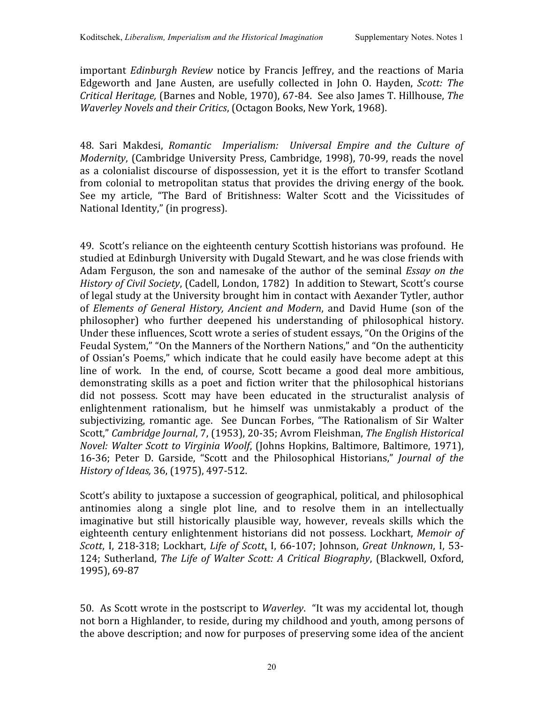important *Edinburgh Review* notice by Francis Jeffrey, and the reactions of Maria Edgeworth and Jane Austen, are usefully collected in John O. Hayden, Scott: The Critical Heritage, (Barnes and Noble, 1970), 67-84. See also James T. Hillhouse, The *Waverley
Novels
and
their
Critics*,
(Octagon
Books,
New
York,
1968).

48. Sari Makdesi, *Romantic Imperialism: Universal Empire and the Culture of*  Modernity, (Cambridge University Press, Cambridge, 1998), 70-99, reads the novel as a colonialist discourse of dispossession, yet it is the effort to transfer Scotland from colonial to metropolitan status that provides the driving energy of the book. See my article, "The Bard of Britishness: Walter Scott and the Vicissitudes of National
Identity,"
(in
progress).

49. Scott's reliance on the eighteenth century Scottish historians was profound. He studied
at
Edinburgh
University with
Dugald
Stewart,
and
he
was
close
friends
with Adam Ferguson, the son and namesake of the author of the seminal *Essay on the* History of Civil Society, (Cadell, London, 1782) In addition to Stewart, Scott's course of
legal
study
at
the
University
brought
him
in
contact
with
Aexander
Tytler,
author of *Elements of General History, Ancient and Modern*, and David Hume
(son of the philosopher) who further deepened his understanding of philosophical history. Under these influences, Scott wrote a series of student essays, "On the Origins of the Feudal System," "On the Manners of the Northern Nations," and "On the authenticity of
Ossian's
Poems,"
which
indicate
that
he could easily
have
become adept at
this line of work. In the end, of course, Scott became a good deal more ambitious, demonstrating skills as a poet and fiction writer that the philosophical historians did not possess. Scott may have been educated in the structuralist analysis of enlightenment rationalism, but he himself was unmistakably a product of the subjectivizing, romantic age. See Duncan Forbes, "The Rationalism of Sir Walter Scott," Cambridge Journal, 7, (1953), 20-35; Avrom Fleishman, The English Historical Novel: Walter Scott to Virginia Woolf, (Johns Hopkins, Baltimore, Baltimore, 1971), 16-36; Peter D. Garside, "Scott and the Philosophical Historians," *Journal of the History
of
Ideas,*36,
(1975),
497‐512.

Scott's ability to juxtapose a succession of geographical, political, and philosophical antinomies along a single plot line, and to resolve them in an intellectually imaginative but still historically plausible way, however, reveals skills which the eighteenth century enlightenment historians did not possess. Lockhart, Memoir of *Scott*,
I,
218‐318;
Lockhart, *Life of Scott*, I,
66‐107;
Johnson, *Great
Unknown*,
I,
53‐ 124; Sutherland, The Life of Walter Scott: A Critical Biography, (Blackwell, Oxford, 1995),
69‐87

50. As
Scott
wrote
in
the
postscript
to *Waverley*. "It
was
my
accidental lot,
though not born a Highlander, to reside, during my childhood and youth, among persons of the above description; and now for purposes of preserving some idea of the ancient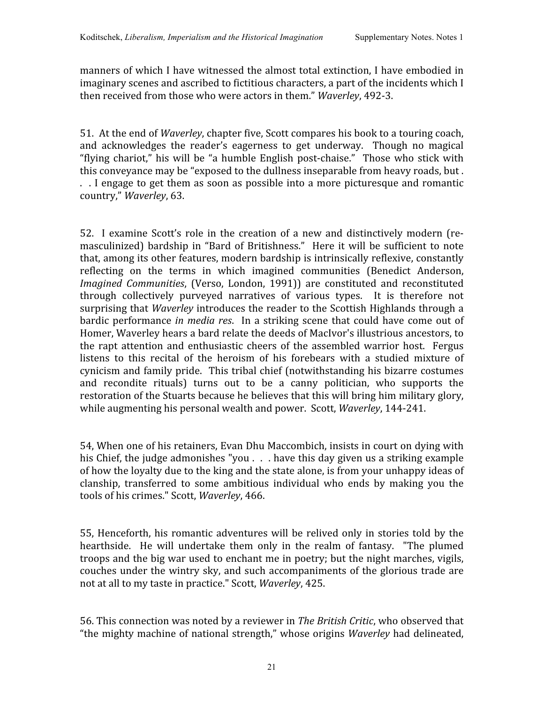manners
of
which
I
have
witnessed
the
almost
total
extinction,
I
have
embodied in imaginary scenes and ascribed to fictitious characters, a part of the incidents which I then received from those who were actors in them." *Waverley*, 492-3.

51. At the end of *Waverley*, chapter five, Scott compares his book to a touring coach, and acknowledges the reader's eagerness to get underway. Though no magical "flying chariot,"
his
will
be
"a
humble
English
post‐chaise." Those
who stick
with this conveyance may be "exposed to the dullness inseparable from heavy roads, but. .. I engage to get them as soon as possible into a more picturesque and romantic country," *Waverley*,
63.

52. I examine Scott's role in
the creation of a new and distinctively modern
(re‐ masculinized) bardship in "Bard of Britishness." Here it will be sufficient to note that,
among
its
other
features,
modern
bardship
is
intrinsically
reflexive,
constantly reflecting on the terms in which imagined communities (Benedict Anderson, Imagined Communities, (Verso, London, 1991)) are constituted and reconstituted through collectively purveyed narratives of various types. It is therefore not surprising that *Waverley* introduces the reader to the Scottish Highlands through a bardic performance *in media res*. In a striking scene that could have come out of Homer, Waverley hears a bard relate the deeds of MacIvor's illustrious ancestors, to the rapt attention and enthusiastic cheers of
the assembled
warrior
host. Fergus listens to this recital of the heroism of his forebears with a studied mixture of cynicism
and
family
pride. This
tribal
chief
(notwithstanding
his
bizarre
costumes and recondite rituals) turns out to be a canny politician, who supports the restoration of the Stuarts because he believes that this will bring him military glory, while augmenting his personal wealth and power. Scott, *Waverley*, 144-241.

54,
When
one
of
his
retainers,
Evan
Dhu
Maccombich,
insists
in
court
on
dying
with his Chief, the judge admonishes "you . . . have this day given us a striking example of how the loyalty due to the king and the state alone, is from your unhappy ideas of clanship, transferred to some ambitious individual who ends by making you the tools
of
his
crimes."
Scott, *Waverley*,
466.

55,
Henceforth,
his romantic
adventures
will
be relived
only
in stories
told
by
the hearthside. He will undertake them only in the realm of fantasy. "The plumed troops and the big war used to enchant me in poetry; but the night marches, vigils, couches
under
the
wintry
sky,
and
such
accompaniments
of
the
glorious
trade
are not
at
all
to
my
taste
in
practice."
Scott, *Waverley*,
425.

56.
This
connection
was
noted
by
a
reviewer
in *The
British
Critic*,
who
observed
that "the
mighty
machine
of
national
strength,"
whose
origins *Waverley* had
delineated,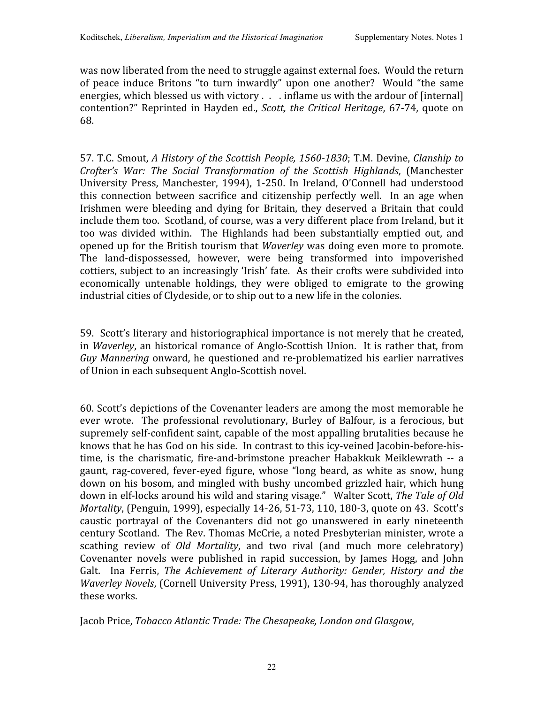was now liberated from the need to struggle against external foes. Would the return of peace induce Britons
"to
turn inwardly" upon one another? Would
"the same energies, which blessed us with victory . . . inflame us with the ardour of [internal] contention?"
Reprinted
in
Hayden ed., *Scott,
the
Critical
Heritage*,
67‐74,
quote
on 68.

57.
T.C.
Smout, *A
History
of
the
Scottish
People,
15601830*;
T.M.
Devine, *Clanship
to Crofter's War: The Social Transformation of the Scottish Highlands*, (Manchester University Press, Manchester, 1994), 1-250. In Ireland, O'Connell had understood this connection between sacrifice and citizenship perfectly well. In an age when Irishmen were bleeding and dying for Britain, they deserved a Britain that could include them too. Scotland, of course, was a very different place from Ireland, but it too was divided within. The Highlands had been substantially emptied out, and opened up for the British tourism that *Waverley* was doing even more to promote. The land‐dispossessed, however, were being transformed into impoverished cottiers,
subject
to
an
increasingly
'Irish' fate. As
their
crofts
were
subdivided
into economically untenable holdings, they were obliged to emigrate to the growing industrial
cities
of
Clydeside,
or
to
ship
out
to
a
new
life
in
the
colonies.

59. Scott's
literary
and
historiographical
importance
is
not
merely
that
he
created, in *Waverley*, an historical romance of Anglo-Scottish Union. It is rather that, from Guy Mannering onward, he questioned and re-problematized his earlier narratives of
Union
in
each
subsequent
Anglo‐Scottish
novel.

60.
Scott's
depictions
of
the
Covenanter
leaders
are
among
the
most
memorable
he ever wrote. The professional revolutionary, Burley of Balfour, is a ferocious, but supremely
self‐confident
saint,
capable
of
the most
appalling
brutalities because
he knows that he has God on his side. In contrast to this icy-veined Jacobin-before-histime, is the charismatic, fire-and-brimstone preacher Habakkuk Meiklewrath -- a gaunt, rag-covered, fever-eved figure, whose "long beard, as white as snow, hung down
on
his
bosom,
and
mingled
with
bushy
uncombed
grizzled
hair,
which
hung down in elf-locks around his wild and staring visage." Walter Scott, The Tale of Old *Mortality*, (Penguin, 1999), especially 14-26, 51-73, 110, 180-3, quote on 43. Scott's caustic portrayal of the Covenanters did not go unanswered in early nineteenth century
Scotland. The
Rev.
Thomas
McCrie,
a
noted
Presbyterian
minister,
wrote
a scathing review of *Old Mortality*, and two rival (and much more celebratory) Covenanter novels were published in rapid succession, by James Hogg, and John Galt. Ina Ferris, The Achievement of Literary Authority: Gender, History and the Waverley Novels, (Cornell University Press, 1991), 130-94, has thoroughly analyzed these
works.

Jacob
Price, *Tobacco
Atlantic
Trade:
The
Chesapeake,
London
and
Glasgow*,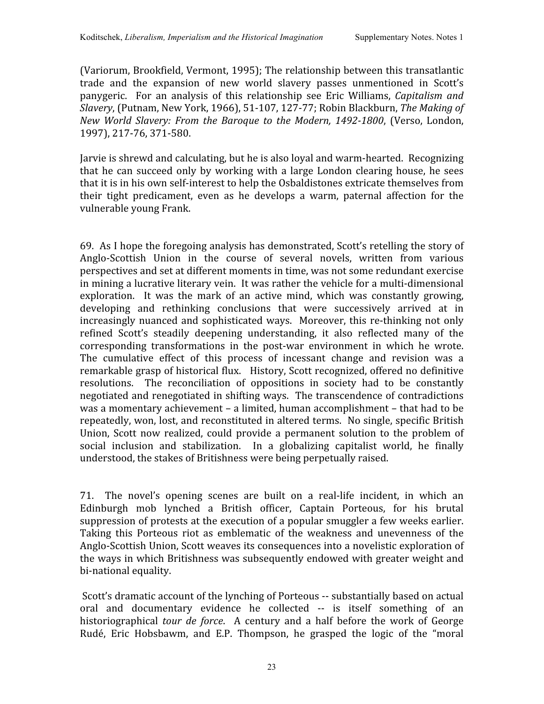(Variorum, Brookfield,
Vermont,
1995);
The
relationship
between
this
transatlantic trade and the expansion of new world slavery passes unmentioned in Scott's panygeric. For an analysis of this relationship see Eric Williams, *Capitalism and Slavery*,
(Putnam,
New
York,
1966),
51‐107,
127‐77;
Robin
Blackburn, *The
Making
of New World Slavery: From
the Baroque
to
the Modern, 14921800*,
(Verso, London, 1997),
217‐76,
371‐580.

Jarvie
is
shrewd
and
calculating,
but
he
is
also
loyal
and
warm‐hearted. Recognizing that
he can succeed only
by
working
with a
large
London clearing
house,
he sees that it is in his own self-interest to help the Osbaldistones extricate themselves from their tight predicament, even as he develops a warm, paternal affection for the vulnerable
young
Frank.

69. As
I
hope
the
foregoing
analysis
has
demonstrated,
Scott's
retelling
the
story
of Anglo-Scottish Union in the course of several novels, written from various perspectives
and
set
at
different
moments
in
time,
was
not
some
redundant
exercise in mining a lucrative literary vein. It was rather the vehicle for a multi-dimensional exploration. It was the mark of an active mind, which was constantly growing, developing and rethinking conclusions that were successively arrived at in increasingly nuanced and sophisticated ways. Moreover, this re-thinking not only refined Scott's steadily deepening understanding, it also reflected many of the corresponding transformations in the post‐war environment in which he wrote. The cumulative effect of this process of incessant change and revision was a remarkable
grasp
of
historical
flux. History,
Scott
recognized,
offered
no
definitive resolutions. The reconciliation of oppositions in society had to be constantly negotiated and renegotiated in shifting ways. The transcendence of contradictions was a momentary achievement - a limited, human accomplishment - that had to be repeatedly, won, lost, and reconstituted in altered terms. No single, specific British Union, Scott now realized, could provide a permanent solution to the problem of social inclusion and stabilization. In a globalizing capitalist world, he finally understood,
the
stakes
of
Britishness
were
being
perpetually
raised.

71. The novel's opening scenes are built on a real-life incident, in which an Edinburgh mob lynched a British officer, Captain Porteous, for his brutal suppression of protests at the execution of a popular smuggler a few weeks earlier. Taking this Porteous riot as emblematic of the weakness and unevenness of the Anglo-Scottish Union, Scott weaves its consequences into a novelistic exploration of the
ways
in
which
Britishness
was
subsequently
endowed
with
greater
weight
and bi‐national
equality.

Scott's dramatic account of the lynching of Porteous -- substantially based on actual oral and documentary evidence he collected ‐‐ is itself something of an historiographical *tour de force*. A century and a half before the work of George Rudé, Eric Hobsbawm, and E.P. Thompson, he grasped the logic of the "moral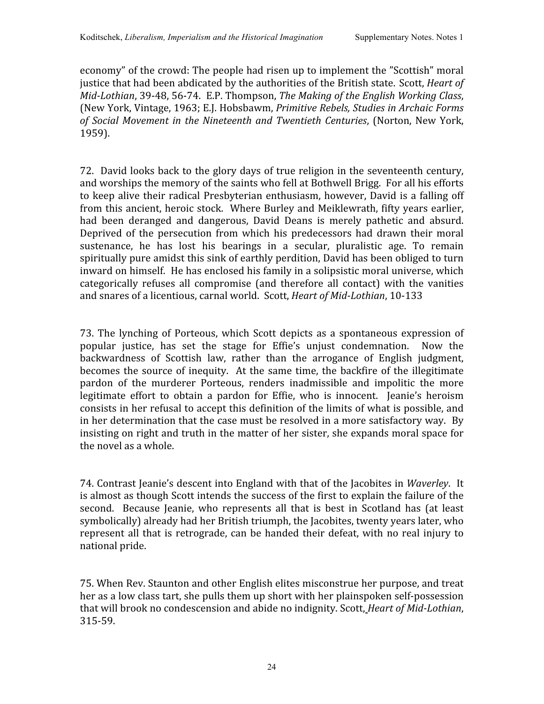economy"
of
the
crowd:
The
people
had
risen
up
to
implement
the
"Scottish"
moral justice that had been abdicated by the authorities of the British state. Scott, *Heart of* Mid-Lothian, 39-48, 56-74. E.P. Thompson, The Making of the English Working Class, (New
York,
Vintage,
1963; E.J.
Hobsbawm, *Primitive
Rebels,
Studies
in
Archaic
Forms*  of Social Movement in the Nineteenth and Twentieth Centuries, (Norton, New York, 1959).

72. David looks
back
to
the
glory
days
of
true
religion
in
the
seventeenth
century, and
worships
the
memory
of
the
saints
who
fell
at
Bothwell
Brigg. For
all
his
efforts to keep alive their radical Presbyterian enthusiasm, however, David is a falling off from
this ancient,
heroic
stock. Where
Burley
and
Meiklewrath,
fifty
years
earlier, had been deranged and dangerous, David Deans is merely pathetic and absurd. Deprived of the persecution from which his predecessors had drawn their moral sustenance, he has lost his bearings in a secular, pluralistic age. To remain spiritually pure amidst this sink of earthly perdition, David has been obliged to turn inward
on
himself. He
has
enclosed
his
family
in
a
solipsistic
moral
universe,
which categorically refuses all compromise
(and
therefore all contact) with
the vanities and
snares
of
a
licentious,
carnal
world.

Scott, *Heart
of
MidLothian*,
10‐133

73.
The lynching of
Porteous,
which Scott depicts as a spontaneous expression of popular justice, has set the stage for Effie's unjust condemnation. Now the backwardness of Scottish law, rather than the arrogance of English judgment, becomes the source of inequity. At the same time, the backfire of the illegitimate pardon of the murderer Porteous, renders inadmissible and impolitic the more legitimate effort to obtain a pardon for Effie, who is innocent. Jeanie's heroism consists
in
her
refusal
to
accept
this
definition
of
the
limits
of
what
is
possible,
and in her determination that the case must be resolved in a more satisfactory way. By insisting on right and truth in the matter of her sister, she expands moral space for the
novel
as
a
whole.

74.
Contrast
Jeanie's
descent
into
England
with
that
of
the
Jacobites
in *Waverley*. It is almost as though Scott intends the success of the first to explain the failure of the second. Because Jeanie, who represents all that is best in Scotland has (at least symbolically) already had her British triumph, the Jacobites, twenty years later, who represent all that is retrograde, can be handed their defeat, with no real injury to national
pride.

75.
When
Rev.
Staunton
and
other
English
elites
misconstrue
her
purpose,
and
treat her as a low class tart, she pulls them up short with her plainspoken self-possession that will brook no condescension and abide no indignity. Scott, *Heart of Mid-Lothian*, 315‐59.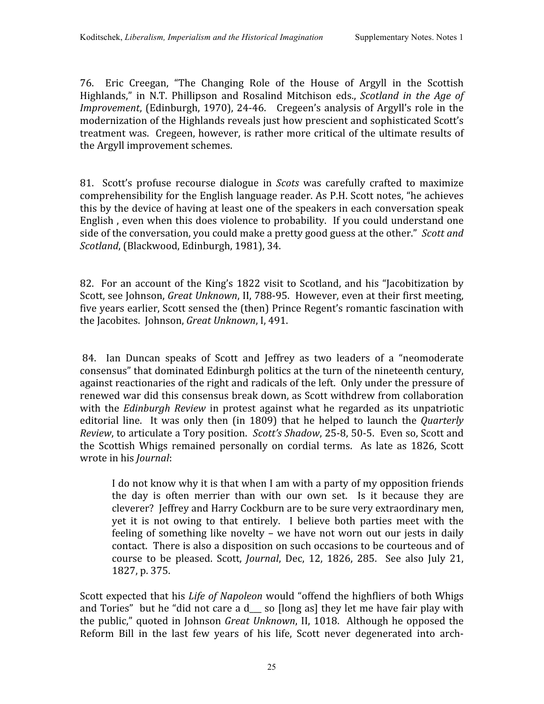76. Eric Creegan, "The Changing Role of the House of Argyll in the Scottish Highlands," in N.T. Phillipson and Rosalind Mitchison eds., *Scotland in the Age of*  Improvement, (Edinburgh, 1970), 24-46. Cregeen's analysis of Argyll's role in the modernization of the Highlands reveals just how prescient and sophisticated Scott's treatment
was. Cregeen,
however,
is
rather
more
critical
of
the
ultimate
results
of the
Argyll
improvement
schemes.

81. Scott's profuse recourse dialogue in *Scots* was carefully crafted to maximize comprehensibility
for
the
English
language
reader.
As
P.H.
Scott notes,
"he
achieves this
by
the
device
of
having
at
least
one
of
the
speakers
in
each
conversation
speak English, even when this does violence to probability. If you could understand one side of the conversation, you could make a pretty good guess at the other." Scott and *Scotland*,
(Blackwood,
Edinburgh,
1981),
34.

82. For an account of the King's 1822 visit to Scotland, and his "Jacobitization by Scott, see Johnson, *Great Unknown*, II, 788-95. However, even at their first meeting, five years earlier, Scott sensed the (then) Prince Regent's romantic fascination with the
Jacobites.

Johnson, *Great
Unknown*,
I,
491.

84. Ian Duncan speaks of Scott and Jeffrey as two leaders of a "neomoderate consensus"
that
dominated
Edinburgh
politics
at
the
turn
of
the
nineteenth
century, against reactionaries of the right and radicals of the left. Only under the pressure of renewed
war
did
this
consensus
break
down,
as
Scott
withdrew
from
collaboration with the *Edinburgh Review* in protest against what he regarded as its unpatriotic editorial line. It was only then (in 1809) that he helped to launch the *Quarterly* Review, to articulate a Tory position. Scott's Shadow, 25-8, 50-5. Even so, Scott and the Scottish Whigs remained personally on cordial terms. As late as 1826, Scott wrote
in
his *Journal*:

I do not know why it is that when I am with a party of my opposition friends the day is often merrier than with our own set. Is it because they are cleverer? Jeffrey
and
Harry
Cockburn
are
to
be
sure
very
extraordinary
men, yet it is not owing to that entirely. I believe both parties meet with the feeling of something like novelty – we have not worn out our jests in daily contact. There
is
also
a
disposition
on
such
occasions
to
be
courteous
and
of course to be pleased. Scott, *Journal*, Dec, 12, 1826, 285. See also July 21, 1827,
p.
375.

Scott expected that his *Life of Napoleon* would "offend the highfliers of both Whigs and Tories" but he "did not care a d so [long as] they let me have fair play with the
public,"
quoted
in
Johnson *Great
Unknown*,
II,
1018. Although he
opposed
the Reform Bill in the last few years of his life, Scott never degenerated into arch